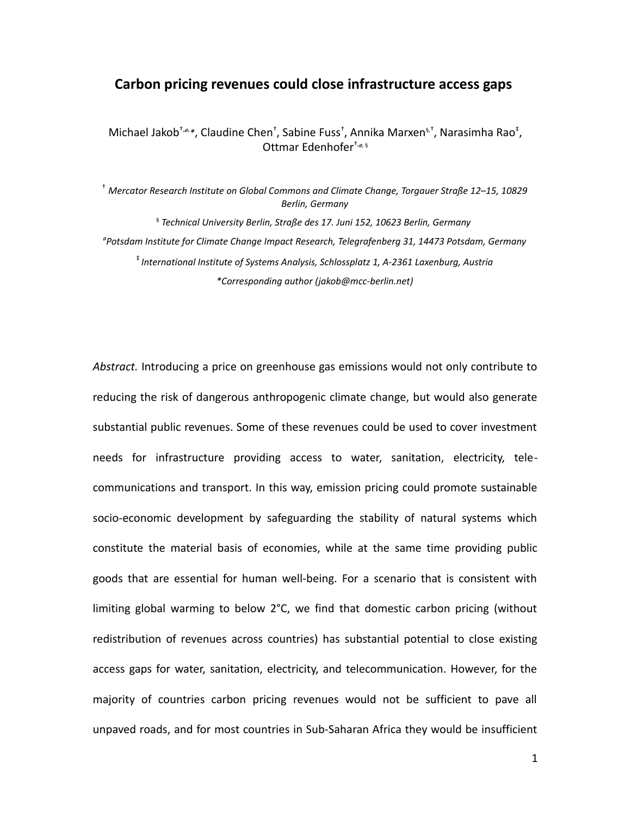## **Carbon pricing revenues could close infrastructure access gaps**

Michael Jakob<sup>†,ø,</sup>\*, Claudine Chen<sup>+</sup>, Sabine Fuss<sup>†</sup>, Annika Marxen<sup>s,†</sup>, Narasimha Rao<sup>‡</sup>, Ottmar Edenhofer†,*ø,* §

† *Mercator Research Institute on Global Commons and Climate Change, Torgauer Straße 12–15, 10829 Berlin, Germany* §  *Technical University Berlin, Straße des 17. Juni 152, 10623 Berlin, Germany ø Potsdam Institute for Climate Change Impact Research, Telegrafenberg 31, 14473 Potsdam, Germany* ‡ *International Institute of Systems Analysis, Schlossplatz 1, A-2361 Laxenburg, Austria \*Corresponding author (jakob@mcc-berlin.net)*

*Abstract.* Introducing a price on greenhouse gas emissions would not only contribute to reducing the risk of dangerous anthropogenic climate change, but would also generate substantial public revenues. Some of these revenues could be used to cover investment needs for infrastructure providing access to water, sanitation, electricity, telecommunications and transport. In this way, emission pricing could promote sustainable socio-economic development by safeguarding the stability of natural systems which constitute the material basis of economies, while at the same time providing public goods that are essential for human well-being. For a scenario that is consistent with limiting global warming to below  $2^{\circ}$ C, we find that domestic carbon pricing (without redistribution of revenues across countries) has substantial potential to close existing access gaps for water, sanitation, electricity, and telecommunication. However, for the majority of countries carbon pricing revenues would not be sufficient to pave all unpaved roads, and for most countries in Sub-Saharan Africa they would be insufficient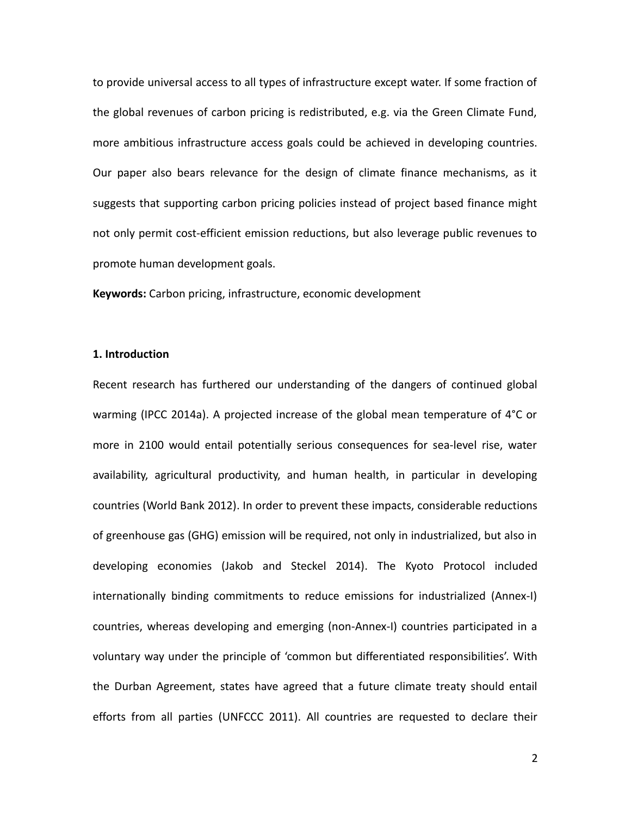to provide universal access to all types of infrastructure except water. If some fraction of the global revenues of carbon pricing is redistributed, e.g. via the Green Climate Fund, more ambitious infrastructure access goals could be achieved in developing countries. Our paper also bears relevance for the design of climate finance mechanisms, as it suggests that supporting carbon pricing policies instead of project based finance might not only permit cost-efficient emission reductions, but also leverage public revenues to promote human development goals.

**Keywords:** Carbon pricing, infrastructure, economic development

### **1. Introduction**

Recent research has furthered our understanding of the dangers of continued global warming (IPCC 2014a). A projected increase of the global mean temperature of 4°C or more in 2100 would entail potentially serious consequences for sea-level rise, water availability, agricultural productivity, and human health, in particular in developing countries (World Bank 2012). In order to prevent these impacts, considerable reductions of greenhouse gas (GHG) emission will be required, not only in industrialized, but also in developing economies (Jakob and Steckel 2014). The Kyoto Protocol included internationally binding commitments to reduce emissions for industrialized (Annex-I) countries, whereas developing and emerging (non-Annex-I) countries participated in a voluntary way under the principle of 'common but differentiated responsibilities'. With the Durban Agreement, states have agreed that a future climate treaty should entail efforts from all parties (UNFCCC 2011). All countries are requested to declare their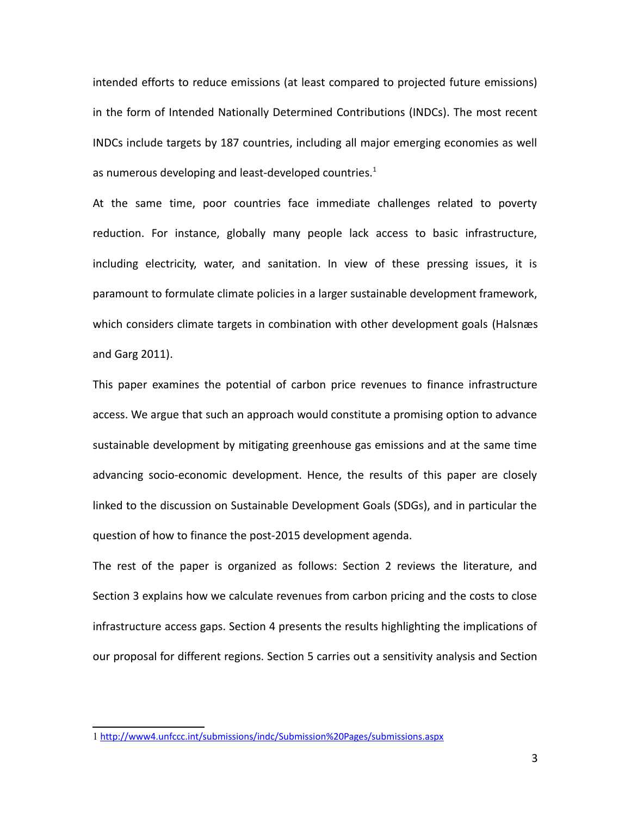intended efforts to reduce emissions (at least compared to projected future emissions) in the form of Intended Nationally Determined Contributions (INDCs). The most recent INDCs include targets by 187 countries, including all major emerging economies as well as numerous developing and least-developed countries. $1$ 

At the same time, poor countries face immediate challenges related to poverty reduction. For instance, globally many people lack access to basic infrastructure, including electricity, water, and sanitation. In view of these pressing issues, it is paramount to formulate climate policies in a larger sustainable development framework, which considers climate targets in combination with other development goals (Halsnæs and Garg 2011).

This paper examines the potential of carbon price revenues to finance infrastructure access. We argue that such an approach would constitute a promising option to advance sustainable development by mitigating greenhouse gas emissions and at the same time advancing socio-economic development. Hence, the results of this paper are closely linked to the discussion on Sustainable Development Goals (SDGs), and in particular the question of how to finance the post-2015 development agenda.

The rest of the paper is organized as follows: Section 2 reviews the literature, and Section 3 explains how we calculate revenues from carbon pricing and the costs to close infrastructure access gaps. Section 4 presents the results highlighting the implications of our proposal for different regions. Section 5 carries out a sensitivity analysis and Section

<span id="page-2-0"></span><sup>1</sup> <http://www4.unfccc.int/submissions/indc/Submission%20Pages/submissions.aspx>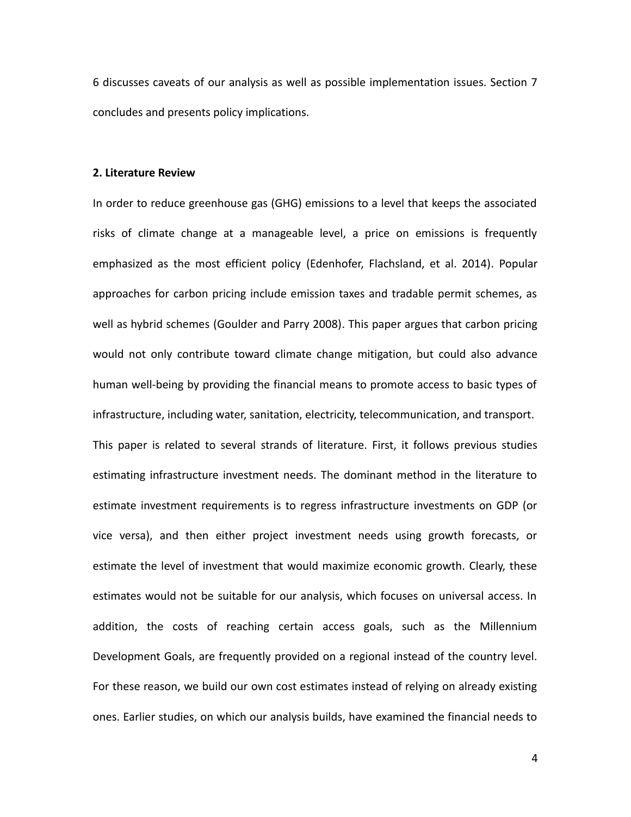6 discusses caveats of our analysis as well as possible implementation issues. Section 7 concludes and presents policy implications.

### **2. Literature Review**

In order to reduce greenhouse gas (GHG) emissions to a level that keeps the associated risks of climate change at a manageable level, a price on emissions is frequently emphasized as the most efficient policy (Edenhofer, Flachsland, et al. 2014). Popular approaches for carbon pricing include emission taxes and tradable permit schemes, as well as hybrid schemes (Goulder and Parry 2008). This paper argues that carbon pricing would not only contribute toward climate change mitigation, but could also advance human well-being by providing the financial means to promote access to basic types of infrastructure, including water, sanitation, electricity, telecommunication, and transport. This paper is related to several strands of literature. First, it follows previous studies estimating infrastructure investment needs. The dominant method in the literature to estimate investment requirements is to regress infrastructure investments on GDP (or vice versa), and then either project investment needs using growth forecasts, or estimate the level of investment that would maximize economic growth. Clearly, these estimates would not be suitable for our analysis, which focuses on universal access. In addition, the costs of reaching certain access goals, such as the Millennium Development Goals, are frequently provided on a regional instead of the country level. For these reason, we build our own cost estimates instead of relying on already existing ones. Earlier studies, on which our analysis builds, have examined the financial needs to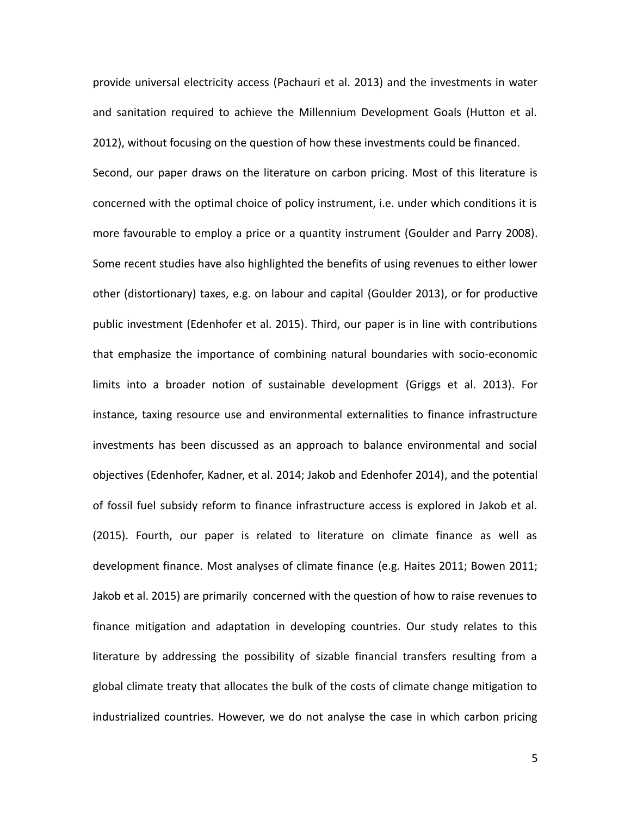provide universal electricity access (Pachauri et al. 2013) and the investments in water and sanitation required to achieve the Millennium Development Goals (Hutton et al. 2012), without focusing on the question of how these investments could be financed. Second, our paper draws on the literature on carbon pricing. Most of this literature is concerned with the optimal choice of policy instrument, i.e. under which conditions it is more favourable to employ a price or a quantity instrument (Goulder and Parry 2008). Some recent studies have also highlighted the benefits of using revenues to either lower other (distortionary) taxes, e.g. on labour and capital (Goulder 2013), or for productive public investment (Edenhofer et al. 2015). Third, our paper is in line with contributions that emphasize the importance of combining natural boundaries with socio-economic limits into a broader notion of sustainable development (Griggs et al. 2013). For instance, taxing resource use and environmental externalities to finance infrastructure investments has been discussed as an approach to balance environmental and social objectives (Edenhofer, Kadner, et al. 2014; Jakob and Edenhofer 2014), and the potential of fossil fuel subsidy reform to finance infrastructure access is explored in Jakob et al. (2015). Fourth, our paper is related to literature on climate finance as well as development finance. Most analyses of climate finance (e.g. Haites 2011; Bowen 2011; Jakob et al. 2015) are primarily concerned with the question of how to raise revenues to finance mitigation and adaptation in developing countries. Our study relates to this literature by addressing the possibility of sizable financial transfers resulting from a global climate treaty that allocates the bulk of the costs of climate change mitigation to industrialized countries. However, we do not analyse the case in which carbon pricing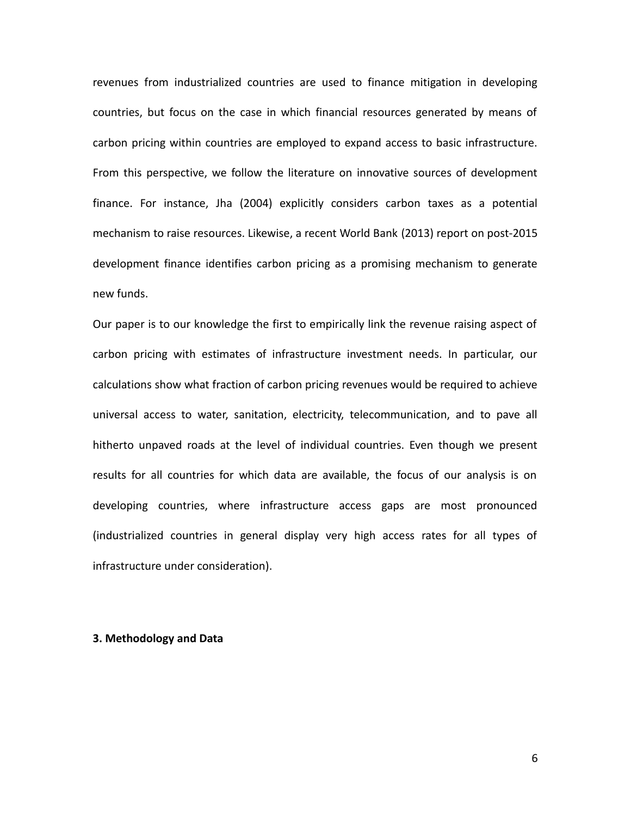revenues from industrialized countries are used to finance mitigation in developing countries, but focus on the case in which financial resources generated by means of carbon pricing within countries are employed to expand access to basic infrastructure. From this perspective, we follow the literature on innovative sources of development finance. For instance, Jha (2004) explicitly considers carbon taxes as a potential mechanism to raise resources. Likewise, a recent World Bank (2013) report on post-2015 development finance identifies carbon pricing as a promising mechanism to generate new funds.

Our paper is to our knowledge the first to empirically link the revenue raising aspect of carbon pricing with estimates of infrastructure investment needs. In particular, our calculations show what fraction of carbon pricing revenues would be required to achieve universal access to water, sanitation, electricity, telecommunication, and to pave all hitherto unpaved roads at the level of individual countries. Even though we present results for all countries for which data are available, the focus of our analysis is on developing countries, where infrastructure access gaps are most pronounced (industrialized countries in general display very high access rates for all types of infrastructure under consideration).

### **3. Methodology and Data**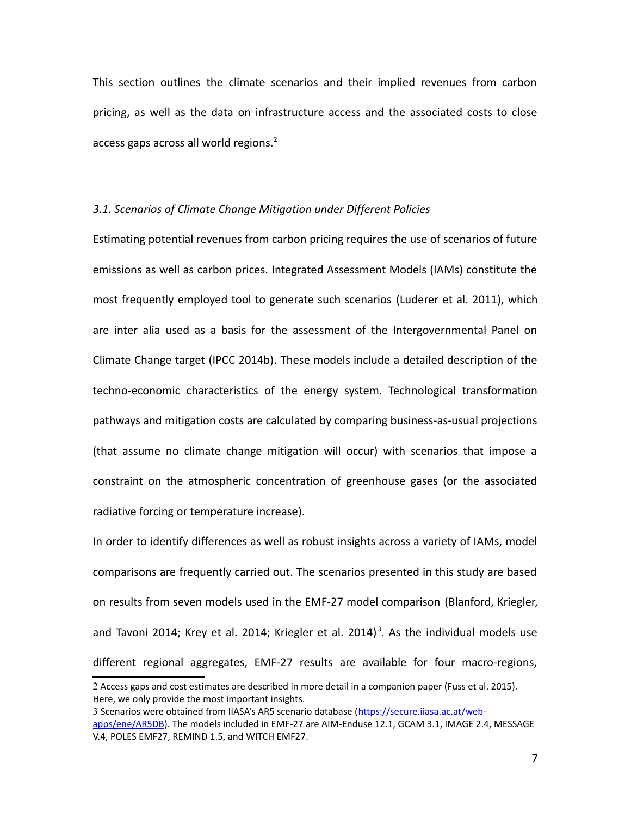This section outlines the climate scenarios and their implied revenues from carbon pricing, as well as the data on infrastructure access and the associated costs to close access gaps across all world regions. $2<sup>2</sup>$  $2<sup>2</sup>$ 

### *3.1. Scenarios of Climate Change Mitigation under Different Policies*

Estimating potential revenues from carbon pricing requires the use of scenarios of future emissions as well as carbon prices. Integrated Assessment Models (IAMs) constitute the most frequently employed tool to generate such scenarios (Luderer et al. 2011), which are inter alia used as a basis for the assessment of the Intergovernmental Panel on Climate Change target (IPCC 2014b). These models include a detailed description of the techno-economic characteristics of the energy system. Technological transformation pathways and mitigation costs are calculated by comparing business-as-usual projections (that assume no climate change mitigation will occur) with scenarios that impose a constraint on the atmospheric concentration of greenhouse gases (or the associated radiative forcing or temperature increase).

In order to identify differences as well as robust insights across a variety of IAMs, model comparisons are frequently carried out. The scenarios presented in this study are based on results from seven models used in the EMF-27 model comparison (Blanford, Kriegler, and Tavoni 2014; Krey et al. 2014; Kriegler et al. 2014)<sup>[3](#page-6-1)</sup>. As the individual models use different regional aggregates, EMF-27 results are available for four macro-regions,

<span id="page-6-0"></span><sup>2</sup> Access gaps and cost estimates are described in more detail in a companion paper (Fuss et al. 2015). Here, we only provide the most important insights.

<span id="page-6-1"></span><sup>3</sup> Scenarios were obtained from IIASA's AR5 scenario database [\(https://secure.iiasa.ac.at/web](https://secure.iiasa.ac.at/web-apps/ene/AR5DB)[apps/ene/AR5DB\)](https://secure.iiasa.ac.at/web-apps/ene/AR5DB). The models included in EMF-27 are AIM-Enduse 12.1, GCAM 3.1, IMAGE 2.4, MESSAGE V.4, POLES EMF27, REMIND 1.5, and WITCH EMF27.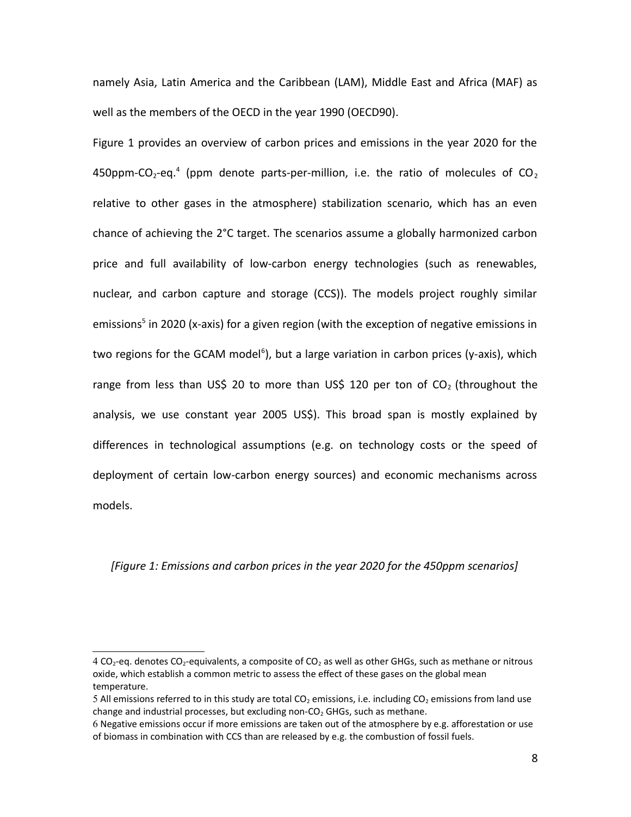namely Asia, Latin America and the Caribbean (LAM), Middle East and Africa (MAF) as well as the members of the OECD in the year 1990 (OECD90).

Figure 1 provides an overview of carbon prices and emissions in the year 2020 for the [4](#page-7-0)50ppm-CO<sub>2</sub>-eq.<sup>4</sup> (ppm denote parts-per-million, i.e. the ratio of molecules of CO<sub>2</sub> relative to other gases in the atmosphere) stabilization scenario, which has an even chance of achieving the 2°C target. The scenarios assume a globally harmonized carbon price and full availability of low-carbon energy technologies (such as renewables, nuclear, and carbon capture and storage (CCS)). The models project roughly similar emissions<sup>[5](#page-7-1)</sup> in 2020 (x-axis) for a given region (with the exception of negative emissions in two regions for the GCAM model<sup>[6](#page-7-2)</sup>), but a large variation in carbon prices (y-axis), which range from less than US\$ 20 to more than US\$ 120 per ton of  $CO<sub>2</sub>$  (throughout the analysis, we use constant year 2005 US\$). This broad span is mostly explained by differences in technological assumptions (e.g. on technology costs or the speed of deployment of certain low-carbon energy sources) and economic mechanisms across models.

### *[Figure 1: Emissions and carbon prices in the year 2020 for the 450ppm scenarios]*

<span id="page-7-0"></span><sup>4</sup> CO<sub>2</sub>-eq. denotes CO<sub>2</sub>-equivalents, a composite of CO<sub>2</sub> as well as other GHGs, such as methane or nitrous oxide, which establish a common metric to assess the effect of these gases on the global mean temperature.

<span id="page-7-1"></span><sup>5</sup> All emissions referred to in this study are total  $CO<sub>2</sub>$  emissions, i.e. including  $CO<sub>2</sub>$  emissions from land use change and industrial processes, but excluding non- $CO<sub>2</sub>$  GHGs, such as methane.

<span id="page-7-2"></span><sup>6</sup> Negative emissions occur if more emissions are taken out of the atmosphere by e.g. afforestation or use of biomass in combination with CCS than are released by e.g. the combustion of fossil fuels.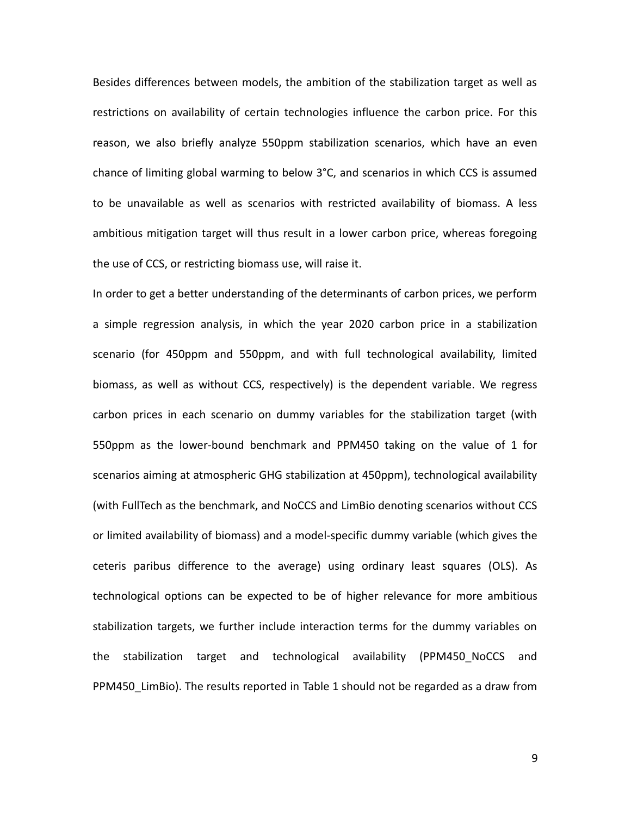Besides differences between models, the ambition of the stabilization target as well as restrictions on availability of certain technologies influence the carbon price. For this reason, we also briefly analyze 550ppm stabilization scenarios, which have an even chance of limiting global warming to below 3°C, and scenarios in which CCS is assumed to be unavailable as well as scenarios with restricted availability of biomass. A less ambitious mitigation target will thus result in a lower carbon price, whereas foregoing the use of CCS, or restricting biomass use, will raise it.

In order to get a better understanding of the determinants of carbon prices, we perform a simple regression analysis, in which the year 2020 carbon price in a stabilization scenario (for 450ppm and 550ppm, and with full technological availability, limited biomass, as well as without CCS, respectively) is the dependent variable. We regress carbon prices in each scenario on dummy variables for the stabilization target (with 550ppm as the lower-bound benchmark and PPM450 taking on the value of 1 for scenarios aiming at atmospheric GHG stabilization at 450ppm), technological availability (with FullTech as the benchmark, and NoCCS and LimBio denoting scenarios without CCS or limited availability of biomass) and a model-specific dummy variable (which gives the ceteris paribus difference to the average) using ordinary least squares (OLS). As technological options can be expected to be of higher relevance for more ambitious stabilization targets, we further include interaction terms for the dummy variables on the stabilization target and technological availability (PPM450\_NoCCS and PPM450 LimBio). The results reported in [Table 1](#page-38-0) should not be regarded as a draw from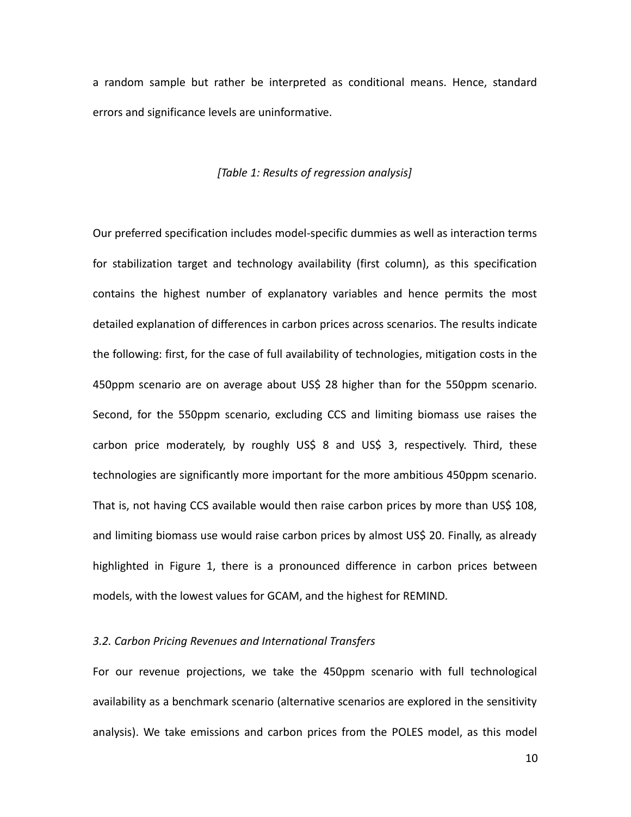a random sample but rather be interpreted as conditional means. Hence, standard errors and significance levels are uninformative.

### *[Table 1: Results of regression analysis]*

Our preferred specification includes model-specific dummies as well as interaction terms for stabilization target and technology availability (first column), as this specification contains the highest number of explanatory variables and hence permits the most detailed explanation of differences in carbon prices across scenarios. The results indicate the following: first, for the case of full availability of technologies, mitigation costs in the 450ppm scenario are on average about US\$ 28 higher than for the 550ppm scenario. Second, for the 550ppm scenario, excluding CCS and limiting biomass use raises the carbon price moderately, by roughly US\$ 8 and US\$ 3, respectively. Third, these technologies are significantly more important for the more ambitious 450ppm scenario. That is, not having CCS available would then raise carbon prices by more than US\$ 108, and limiting biomass use would raise carbon prices by almost US\$ 20. Finally, as already highlighted in Figure 1, there is a pronounced difference in carbon prices between models, with the lowest values for GCAM, and the highest for REMIND.

## *3.2. Carbon Pricing Revenues and International Transfers*

For our revenue projections, we take the 450ppm scenario with full technological availability as a benchmark scenario (alternative scenarios are explored in the sensitivity analysis). We take emissions and carbon prices from the POLES model, as this model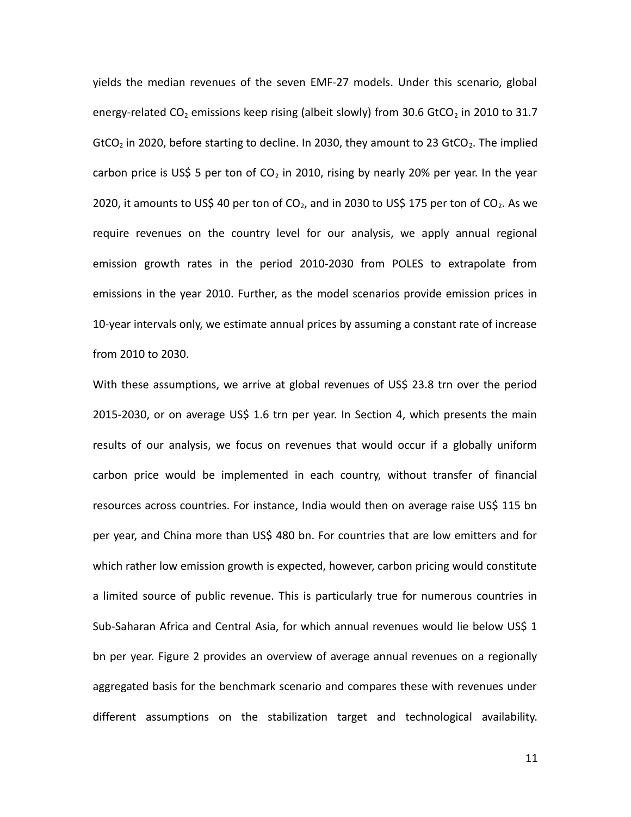yields the median revenues of the seven EMF-27 models. Under this scenario, global energy-related  $CO<sub>2</sub>$  emissions keep rising (albeit slowly) from 30.6 GtCO<sub>2</sub> in 2010 to 31.7 GtCO<sub>2</sub> in 2020, before starting to decline. In 2030, they amount to 23 GtCO<sub>2</sub>. The implied carbon price is US\$ 5 per ton of  $CO<sub>2</sub>$  in 2010, rising by nearly 20% per year. In the year 2020, it amounts to US\$ 40 per ton of  $CO<sub>2</sub>$ , and in 2030 to US\$ 175 per ton of  $CO<sub>2</sub>$ . As we require revenues on the country level for our analysis, we apply annual regional emission growth rates in the period 2010-2030 from POLES to extrapolate from emissions in the year 2010. Further, as the model scenarios provide emission prices in 10-year intervals only, we estimate annual prices by assuming a constant rate of increase from 2010 to 2030.

With these assumptions, we arrive at global revenues of US\$ 23.8 trn over the period 2015-2030, or on average US\$ 1.6 trn per year. In Section 4, which presents the main results of our analysis, we focus on revenues that would occur if a globally uniform carbon price would be implemented in each country, without transfer of financial resources across countries. For instance, India would then on average raise US\$ 115 bn per year, and China more than US\$ 480 bn. For countries that are low emitters and for which rather low emission growth is expected, however, carbon pricing would constitute a limited source of public revenue. This is particularly true for numerous countries in Sub-Saharan Africa and Central Asia, for which annual revenues would lie below US\$ 1 bn per year. Figure 2 provides an overview of average annual revenues on a regionally aggregated basis for the benchmark scenario and compares these with revenues under different assumptions on the stabilization target and technological availability.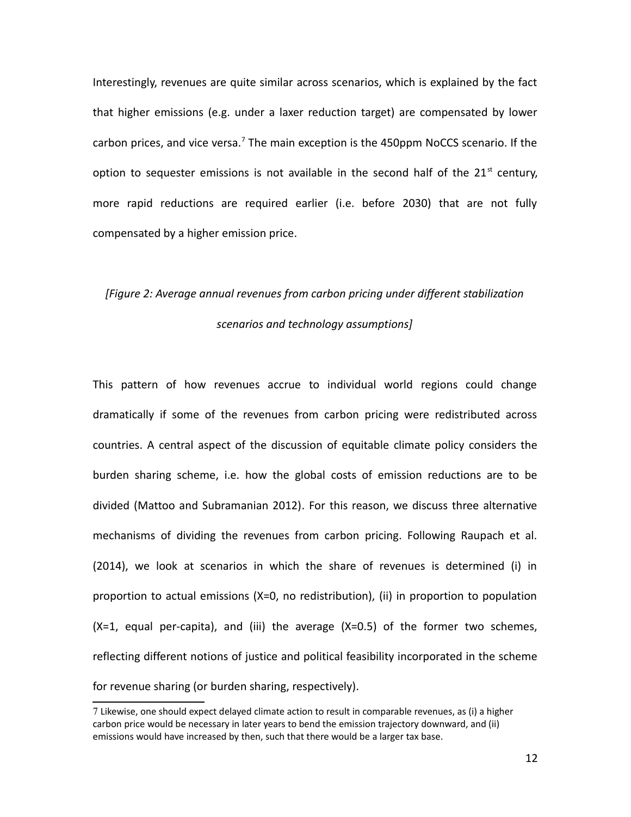Interestingly, revenues are quite similar across scenarios, which is explained by the fact that higher emissions (e.g. under a laxer reduction target) are compensated by lower carbon prices, and vice versa.<sup>[7](#page-11-0)</sup> The main exception is the 450ppm NoCCS scenario. If the option to sequester emissions is not available in the second half of the  $21<sup>st</sup>$  century, more rapid reductions are required earlier (i.e. before 2030) that are not fully compensated by a higher emission price.

## *[Figure 2: Average annual revenues from carbon pricing under different stabilization scenarios and technology assumptions]*

This pattern of how revenues accrue to individual world regions could change dramatically if some of the revenues from carbon pricing were redistributed across countries. A central aspect of the discussion of equitable climate policy considers the burden sharing scheme, i.e. how the global costs of emission reductions are to be divided (Mattoo and Subramanian 2012). For this reason, we discuss three alternative mechanisms of dividing the revenues from carbon pricing. Following Raupach et al. (2014), we look at scenarios in which the share of revenues is determined (i) in proportion to actual emissions (X=0, no redistribution), (ii) in proportion to population  $(X=1,$  equal per-capita), and (iii) the average  $(X=0.5)$  of the former two schemes, reflecting different notions of justice and political feasibility incorporated in the scheme for revenue sharing (or burden sharing, respectively).

<span id="page-11-0"></span><sup>7</sup> Likewise, one should expect delayed climate action to result in comparable revenues, as (i) a higher carbon price would be necessary in later years to bend the emission trajectory downward, and (ii) emissions would have increased by then, such that there would be a larger tax base.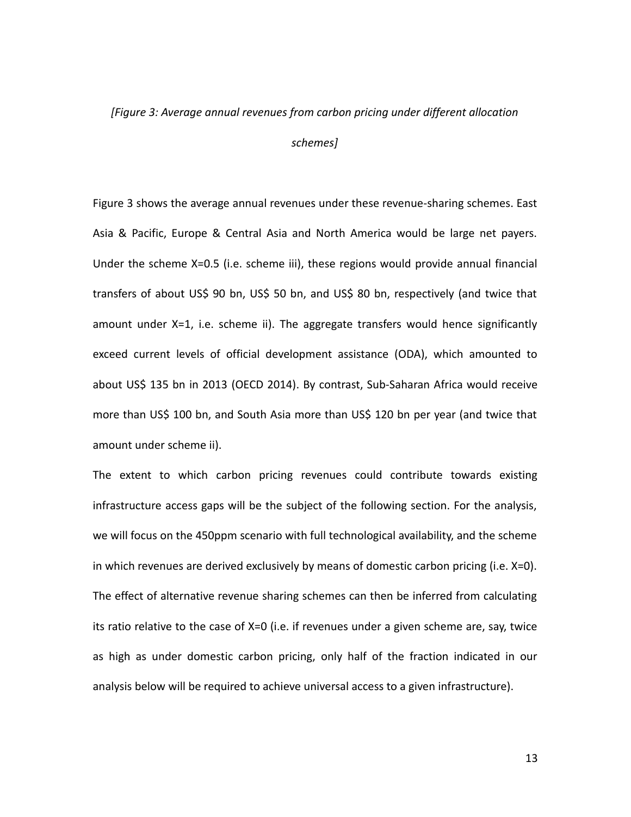#### *[Figure 3: Average annual revenues from carbon pricing under different allocation*

### *schemes]*

Figure 3 shows the average annual revenues under these revenue-sharing schemes. East Asia & Pacific, Europe & Central Asia and North America would be large net payers. Under the scheme X=0.5 (i.e. scheme iii), these regions would provide annual financial transfers of about US\$ 90 bn, US\$ 50 bn, and US\$ 80 bn, respectively (and twice that amount under X=1, i.e. scheme ii). The aggregate transfers would hence significantly exceed current levels of official development assistance (ODA), which amounted to about US\$ 135 bn in 2013 (OECD 2014). By contrast, Sub-Saharan Africa would receive more than US\$ 100 bn, and South Asia more than US\$ 120 bn per year (and twice that amount under scheme ii).

The extent to which carbon pricing revenues could contribute towards existing infrastructure access gaps will be the subject of the following section. For the analysis, we will focus on the 450ppm scenario with full technological availability, and the scheme in which revenues are derived exclusively by means of domestic carbon pricing (i.e. X=0). The effect of alternative revenue sharing schemes can then be inferred from calculating its ratio relative to the case of X=0 (i.e. if revenues under a given scheme are, say, twice as high as under domestic carbon pricing, only half of the fraction indicated in our analysis below will be required to achieve universal access to a given infrastructure).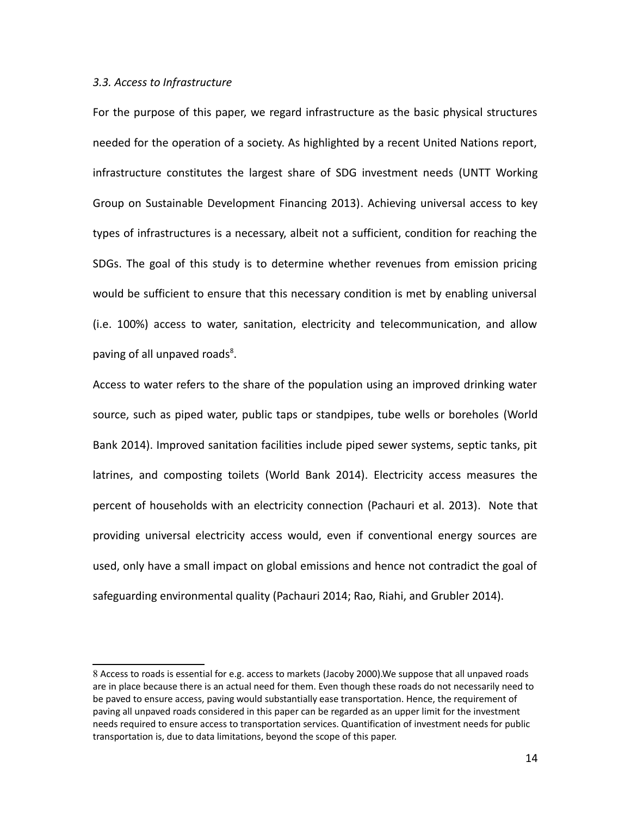### *3.3. Access to Infrastructure*

For the purpose of this paper, we regard infrastructure as the basic physical structures needed for the operation of a society. As highlighted by a recent United Nations report, infrastructure constitutes the largest share of SDG investment needs (UNTT Working Group on Sustainable Development Financing 2013). Achieving universal access to key types of infrastructures is a necessary, albeit not a sufficient, condition for reaching the SDGs. The goal of this study is to determine whether revenues from emission pricing would be sufficient to ensure that this necessary condition is met by enabling universal (i.e. 100%) access to water, sanitation, electricity and telecommunication, and allow paving of all unpaved roads<sup>[8](#page-13-0)</sup>.

Access to water refers to the share of the population using an improved drinking water source, such as piped water, public taps or standpipes, tube wells or boreholes (World Bank 2014). Improved sanitation facilities include piped sewer systems, septic tanks, pit latrines, and composting toilets (World Bank 2014). Electricity access measures the percent of households with an electricity connection (Pachauri et al. 2013). Note that providing universal electricity access would, even if conventional energy sources are used, only have a small impact on global emissions and hence not contradict the goal of safeguarding environmental quality (Pachauri 2014; Rao, Riahi, and Grubler 2014).

<span id="page-13-0"></span><sup>8</sup> Access to roads is essential for e.g. access to markets (Jacoby 2000).We suppose that all unpaved roads are in place because there is an actual need for them. Even though these roads do not necessarily need to be paved to ensure access, paving would substantially ease transportation. Hence, the requirement of paving all unpaved roads considered in this paper can be regarded as an upper limit for the investment needs required to ensure access to transportation services. Quantification of investment needs for public transportation is, due to data limitations, beyond the scope of this paper.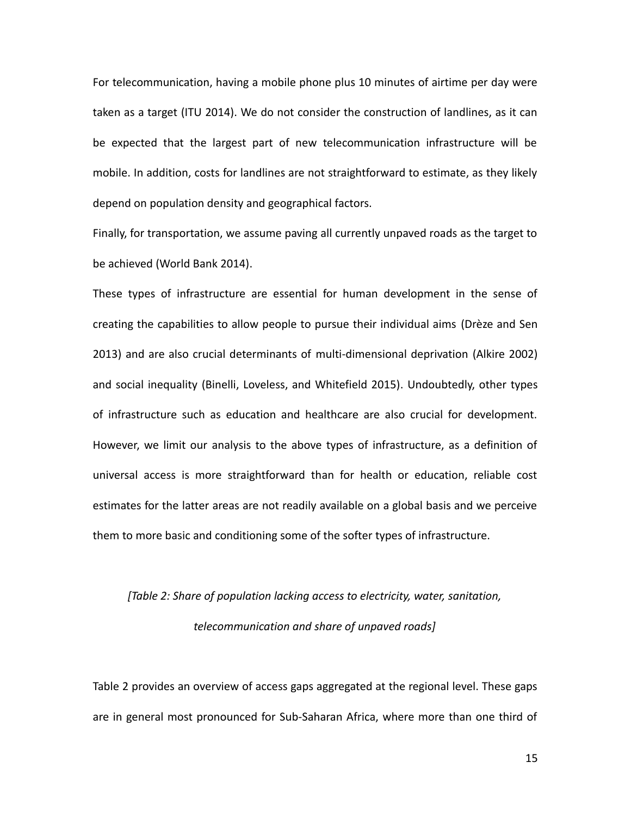For telecommunication, having a mobile phone plus 10 minutes of airtime per day were taken as a target (ITU 2014). We do not consider the construction of landlines, as it can be expected that the largest part of new telecommunication infrastructure will be mobile. In addition, costs for landlines are not straightforward to estimate, as they likely depend on population density and geographical factors.

Finally, for transportation, we assume paving all currently unpaved roads as the target to be achieved (World Bank 2014).

These types of infrastructure are essential for human development in the sense of creating the capabilities to allow people to pursue their individual aims (Drèze and Sen 2013) and are also crucial determinants of multi-dimensional deprivation (Alkire 2002) and social inequality (Binelli, Loveless, and Whitefield 2015). Undoubtedly, other types of infrastructure such as education and healthcare are also crucial for development. However, we limit our analysis to the above types of infrastructure, as a definition of universal access is more straightforward than for health or education, reliable cost estimates for the latter areas are not readily available on a global basis and we perceive them to more basic and conditioning some of the softer types of infrastructure.

# *[Table 2: Share of population lacking access to electricity, water, sanitation, telecommunication and share of unpaved roads]*

Table 2 provides an overview of access gaps aggregated at the regional level. These gaps are in general most pronounced for Sub-Saharan Africa, where more than one third of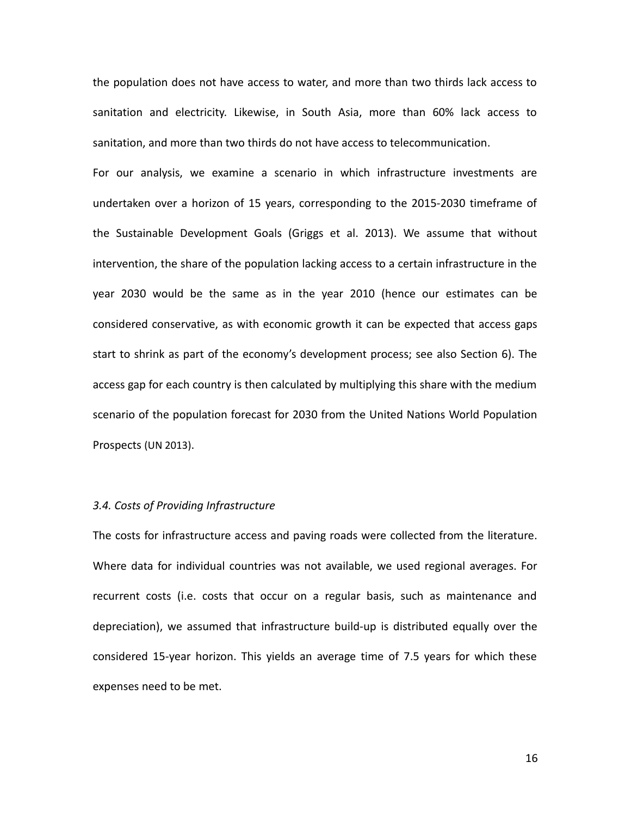the population does not have access to water, and more than two thirds lack access to sanitation and electricity. Likewise, in South Asia, more than 60% lack access to sanitation, and more than two thirds do not have access to telecommunication.

For our analysis, we examine a scenario in which infrastructure investments are undertaken over a horizon of 15 years, corresponding to the 2015-2030 timeframe of the Sustainable Development Goals (Griggs et al. 2013). We assume that without intervention, the share of the population lacking access to a certain infrastructure in the year 2030 would be the same as in the year 2010 (hence our estimates can be considered conservative, as with economic growth it can be expected that access gaps start to shrink as part of the economy's development process; see also Section 6). The access gap for each country is then calculated by multiplying this share with the medium scenario of the population forecast for 2030 from the United Nations World Population Prospects (UN 2013).

## *3.4. Costs of Providing Infrastructure*

The costs for infrastructure access and paving roads were collected from the literature. Where data for individual countries was not available, we used regional averages. For recurrent costs (i.e. costs that occur on a regular basis, such as maintenance and depreciation), we assumed that infrastructure build-up is distributed equally over the considered 15-year horizon. This yields an average time of 7.5 years for which these expenses need to be met.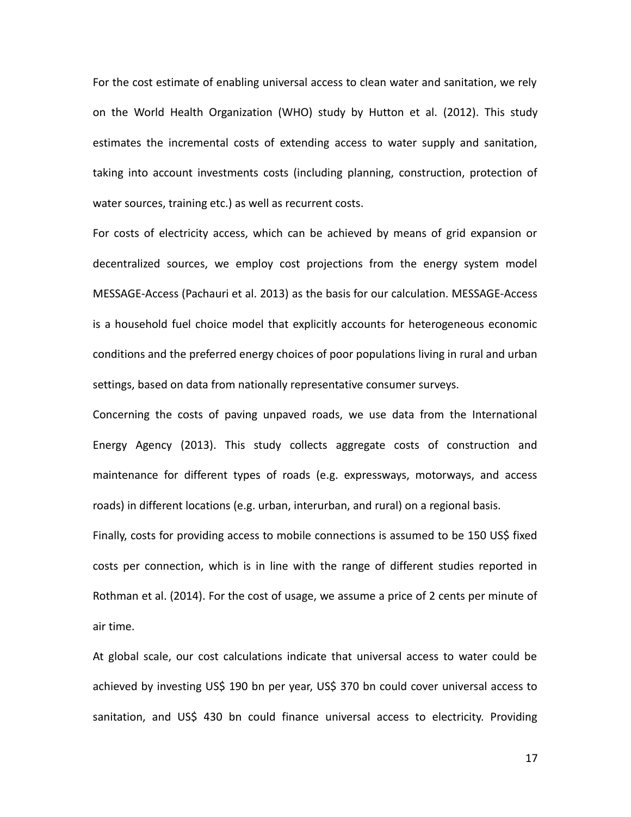For the cost estimate of enabling universal access to clean water and sanitation, we rely on the World Health Organization (WHO) study by Hutton et al. (2012). This study estimates the incremental costs of extending access to water supply and sanitation, taking into account investments costs (including planning, construction, protection of water sources, training etc.) as well as recurrent costs.

For costs of electricity access, which can be achieved by means of grid expansion or decentralized sources, we employ cost projections from the energy system model MESSAGE-Access (Pachauri et al. 2013) as the basis for our calculation. MESSAGE-Access is a household fuel choice model that explicitly accounts for heterogeneous economic conditions and the preferred energy choices of poor populations living in rural and urban settings, based on data from nationally representative consumer surveys.

Concerning the costs of paving unpaved roads, we use data from the International Energy Agency (2013). This study collects aggregate costs of construction and maintenance for different types of roads (e.g. expressways, motorways, and access roads) in different locations (e.g. urban, interurban, and rural) on a regional basis.

Finally, costs for providing access to mobile connections is assumed to be 150 US\$ fixed costs per connection, which is in line with the range of different studies reported in Rothman et al. (2014). For the cost of usage, we assume a price of 2 cents per minute of air time.

At global scale, our cost calculations indicate that universal access to water could be achieved by investing US\$ 190 bn per year, US\$ 370 bn could cover universal access to sanitation, and US\$ 430 bn could finance universal access to electricity. Providing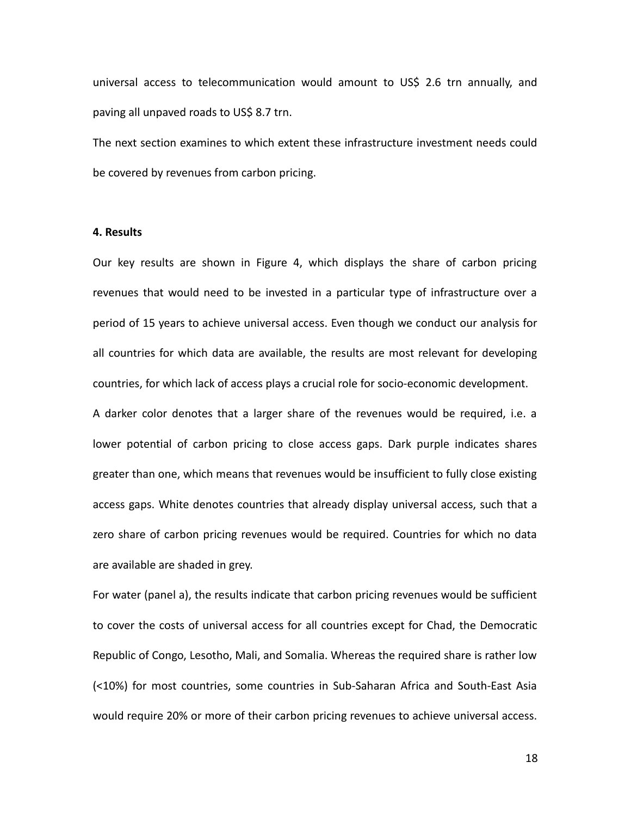universal access to telecommunication would amount to US\$ 2.6 trn annually, and paving all unpaved roads to US\$ 8.7 trn.

The next section examines to which extent these infrastructure investment needs could be covered by revenues from carbon pricing.

## **4. Results**

Our key results are shown in Figure 4, which displays the share of carbon pricing revenues that would need to be invested in a particular type of infrastructure over a period of 15 years to achieve universal access. Even though we conduct our analysis for all countries for which data are available, the results are most relevant for developing countries, for which lack of access plays a crucial role for socio-economic development.

A darker color denotes that a larger share of the revenues would be required, i.e. a lower potential of carbon pricing to close access gaps. Dark purple indicates shares greater than one, which means that revenues would be insufficient to fully close existing access gaps. White denotes countries that already display universal access, such that a zero share of carbon pricing revenues would be required. Countries for which no data are available are shaded in grey.

For water (panel a), the results indicate that carbon pricing revenues would be sufficient to cover the costs of universal access for all countries except for Chad, the Democratic Republic of Congo, Lesotho, Mali, and Somalia. Whereas the required share is rather low (<10%) for most countries, some countries in Sub-Saharan Africa and South-East Asia would require 20% or more of their carbon pricing revenues to achieve universal access.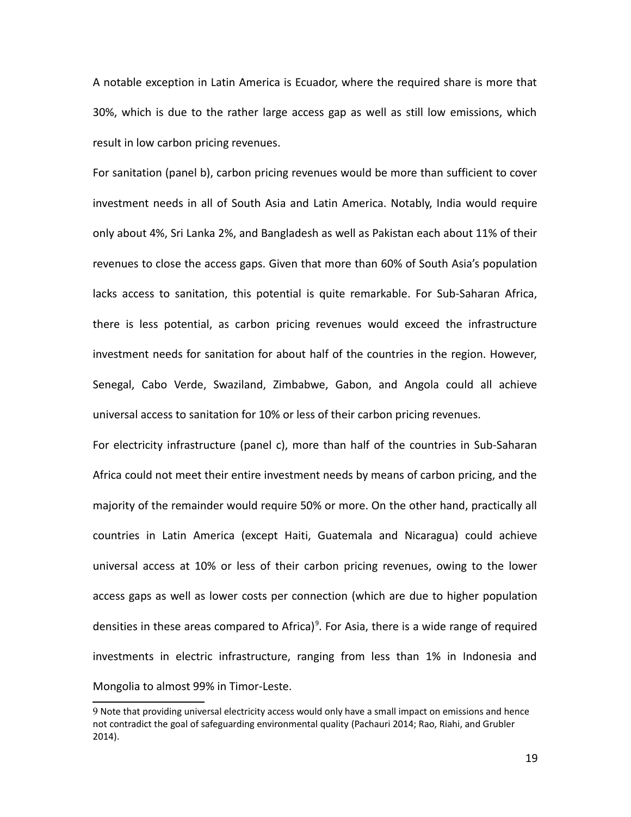A notable exception in Latin America is Ecuador, where the required share is more that 30%, which is due to the rather large access gap as well as still low emissions, which result in low carbon pricing revenues.

For sanitation (panel b), carbon pricing revenues would be more than sufficient to cover investment needs in all of South Asia and Latin America. Notably, India would require only about 4%, Sri Lanka 2%, and Bangladesh as well as Pakistan each about 11% of their revenues to close the access gaps. Given that more than 60% of South Asia's population lacks access to sanitation, this potential is quite remarkable. For Sub-Saharan Africa, there is less potential, as carbon pricing revenues would exceed the infrastructure investment needs for sanitation for about half of the countries in the region. However, Senegal, Cabo Verde, Swaziland, Zimbabwe, Gabon, and Angola could all achieve universal access to sanitation for 10% or less of their carbon pricing revenues.

For electricity infrastructure (panel c), more than half of the countries in Sub-Saharan Africa could not meet their entire investment needs by means of carbon pricing, and the majority of the remainder would require 50% or more. On the other hand, practically all countries in Latin America (except Haiti, Guatemala and Nicaragua) could achieve universal access at 10% or less of their carbon pricing revenues, owing to the lower access gaps as well as lower costs per connection (which are due to higher population densities in these areas compared to Africa)<sup>[9](#page-18-0)</sup>. For Asia, there is a wide range of required investments in electric infrastructure, ranging from less than 1% in Indonesia and Mongolia to almost 99% in Timor-Leste.

<span id="page-18-0"></span><sup>9</sup> Note that providing universal electricity access would only have a small impact on emissions and hence not contradict the goal of safeguarding environmental quality (Pachauri 2014; Rao, Riahi, and Grubler 2014).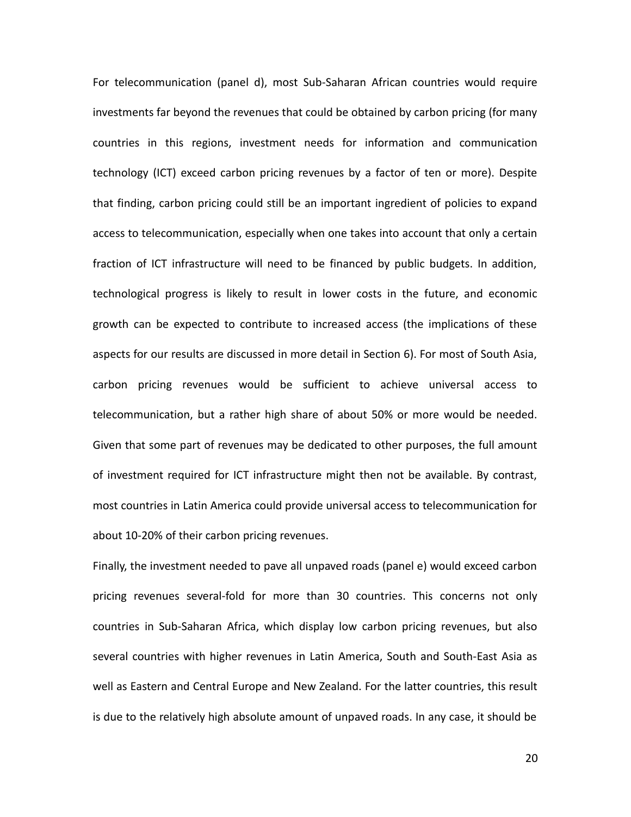For telecommunication (panel d), most Sub-Saharan African countries would require investments far beyond the revenues that could be obtained by carbon pricing (for many countries in this regions, investment needs for information and communication technology (ICT) exceed carbon pricing revenues by a factor of ten or more). Despite that finding, carbon pricing could still be an important ingredient of policies to expand access to telecommunication, especially when one takes into account that only a certain fraction of ICT infrastructure will need to be financed by public budgets. In addition, technological progress is likely to result in lower costs in the future, and economic growth can be expected to contribute to increased access (the implications of these aspects for our results are discussed in more detail in Section 6). For most of South Asia, carbon pricing revenues would be sufficient to achieve universal access to telecommunication, but a rather high share of about 50% or more would be needed. Given that some part of revenues may be dedicated to other purposes, the full amount of investment required for ICT infrastructure might then not be available. By contrast, most countries in Latin America could provide universal access to telecommunication for about 10-20% of their carbon pricing revenues.

Finally, the investment needed to pave all unpaved roads (panel e) would exceed carbon pricing revenues several-fold for more than 30 countries. This concerns not only countries in Sub-Saharan Africa, which display low carbon pricing revenues, but also several countries with higher revenues in Latin America, South and South-East Asia as well as Eastern and Central Europe and New Zealand. For the latter countries, this result is due to the relatively high absolute amount of unpaved roads. In any case, it should be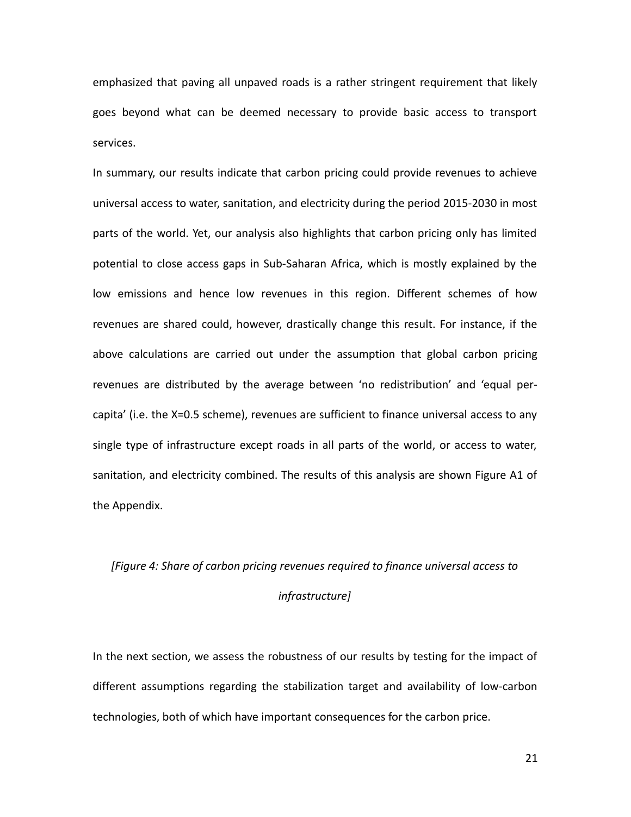emphasized that paving all unpaved roads is a rather stringent requirement that likely goes beyond what can be deemed necessary to provide basic access to transport services.

In summary, our results indicate that carbon pricing could provide revenues to achieve universal access to water, sanitation, and electricity during the period 2015-2030 in most parts of the world. Yet, our analysis also highlights that carbon pricing only has limited potential to close access gaps in Sub-Saharan Africa, which is mostly explained by the low emissions and hence low revenues in this region. Different schemes of how revenues are shared could, however, drastically change this result. For instance, if the above calculations are carried out under the assumption that global carbon pricing revenues are distributed by the average between 'no redistribution' and 'equal percapita' (i.e. the X=0.5 scheme), revenues are sufficient to finance universal access to any single type of infrastructure except roads in all parts of the world, or access to water, sanitation, and electricity combined. The results of this analysis are shown Figure A1 of the Appendix.

## *[Figure 4: Share of carbon pricing revenues required to finance universal access to infrastructure]*

In the next section, we assess the robustness of our results by testing for the impact of different assumptions regarding the stabilization target and availability of low-carbon technologies, both of which have important consequences for the carbon price.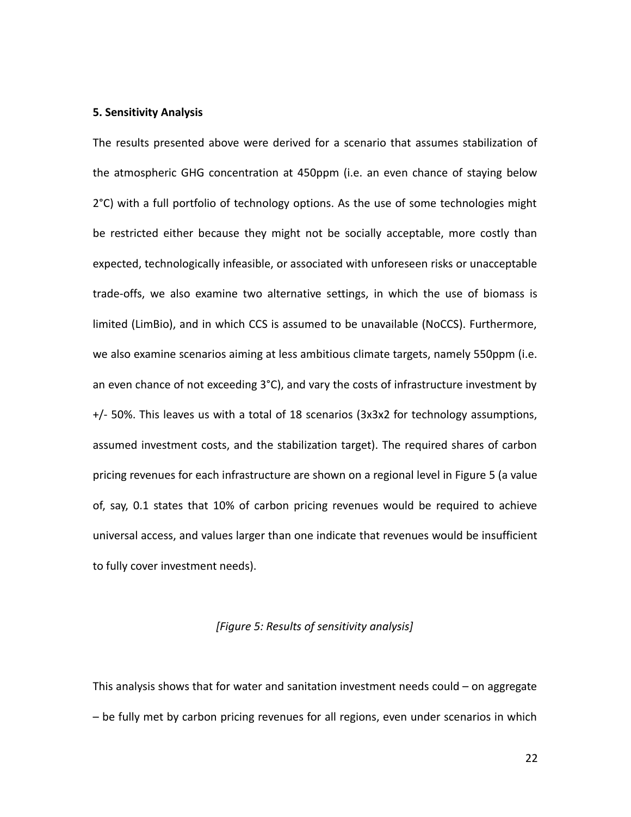### **5. Sensitivity Analysis**

The results presented above were derived for a scenario that assumes stabilization of the atmospheric GHG concentration at 450ppm (i.e. an even chance of staying below 2°C) with a full portfolio of technology options. As the use of some technologies might be restricted either because they might not be socially acceptable, more costly than expected, technologically infeasible, or associated with unforeseen risks or unacceptable trade-offs, we also examine two alternative settings, in which the use of biomass is limited (LimBio), and in which CCS is assumed to be unavailable (NoCCS). Furthermore, we also examine scenarios aiming at less ambitious climate targets, namely 550ppm (i.e. an even chance of not exceeding  $3^{\circ}$ C), and vary the costs of infrastructure investment by  $+/-$  50%. This leaves us with a total of 18 scenarios (3x3x2 for technology assumptions, assumed investment costs, and the stabilization target). The required shares of carbon pricing revenues for each infrastructure are shown on a regional level in Figure 5 (a value of, say, 0.1 states that 10% of carbon pricing revenues would be required to achieve universal access, and values larger than one indicate that revenues would be insufficient to fully cover investment needs).

## *[Figure 5: Results of sensitivity analysis]*

This analysis shows that for water and sanitation investment needs could – on aggregate – be fully met by carbon pricing revenues for all regions, even under scenarios in which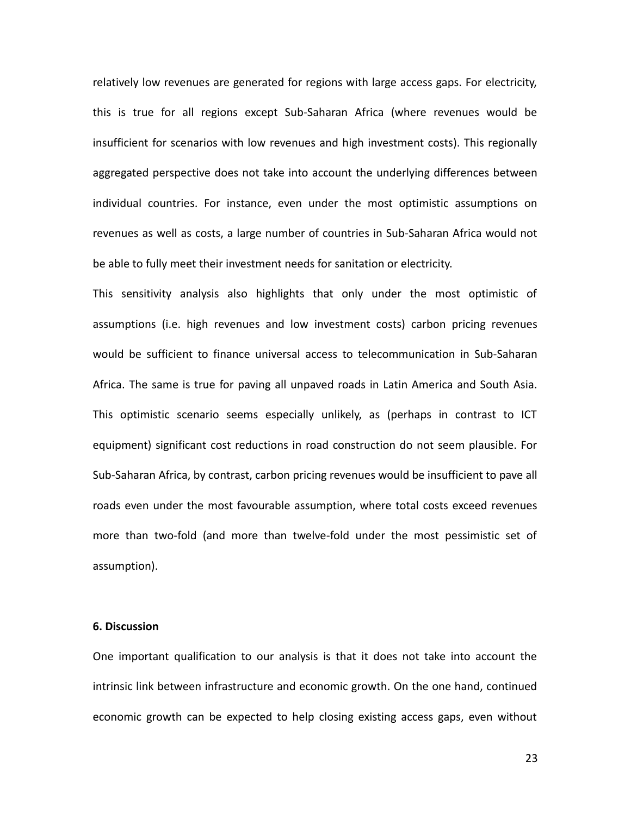relatively low revenues are generated for regions with large access gaps. For electricity, this is true for all regions except Sub-Saharan Africa (where revenues would be insufficient for scenarios with low revenues and high investment costs). This regionally aggregated perspective does not take into account the underlying differences between individual countries. For instance, even under the most optimistic assumptions on revenues as well as costs, a large number of countries in Sub-Saharan Africa would not be able to fully meet their investment needs for sanitation or electricity.

This sensitivity analysis also highlights that only under the most optimistic of assumptions (i.e. high revenues and low investment costs) carbon pricing revenues would be sufficient to finance universal access to telecommunication in Sub-Saharan Africa. The same is true for paving all unpaved roads in Latin America and South Asia. This optimistic scenario seems especially unlikely, as (perhaps in contrast to ICT equipment) significant cost reductions in road construction do not seem plausible. For Sub-Saharan Africa, by contrast, carbon pricing revenues would be insufficient to pave all roads even under the most favourable assumption, where total costs exceed revenues more than two-fold (and more than twelve-fold under the most pessimistic set of assumption).

### **6. Discussion**

One important qualification to our analysis is that it does not take into account the intrinsic link between infrastructure and economic growth. On the one hand, continued economic growth can be expected to help closing existing access gaps, even without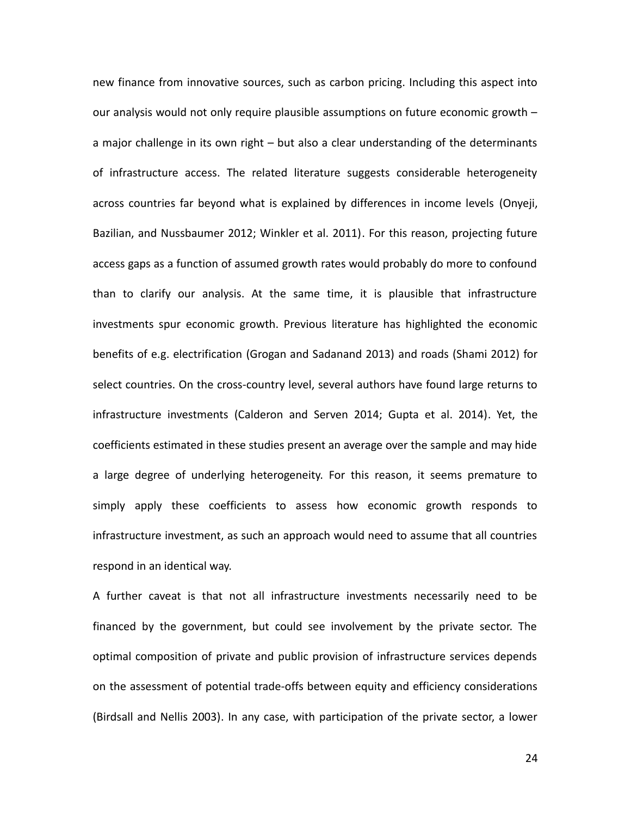new finance from innovative sources, such as carbon pricing. Including this aspect into our analysis would not only require plausible assumptions on future economic growth – a major challenge in its own right – but also a clear understanding of the determinants of infrastructure access. The related literature suggests considerable heterogeneity across countries far beyond what is explained by differences in income levels (Onyeji, Bazilian, and Nussbaumer 2012; Winkler et al. 2011). For this reason, projecting future access gaps as a function of assumed growth rates would probably do more to confound than to clarify our analysis. At the same time, it is plausible that infrastructure investments spur economic growth. Previous literature has highlighted the economic benefits of e.g. electrification (Grogan and Sadanand 2013) and roads (Shami 2012) for select countries. On the cross-country level, several authors have found large returns to infrastructure investments (Calderon and Serven 2014; Gupta et al. 2014). Yet, the coefficients estimated in these studies present an average over the sample and may hide a large degree of underlying heterogeneity. For this reason, it seems premature to simply apply these coefficients to assess how economic growth responds to infrastructure investment, as such an approach would need to assume that all countries respond in an identical way.

A further caveat is that not all infrastructure investments necessarily need to be financed by the government, but could see involvement by the private sector. The optimal composition of private and public provision of infrastructure services depends on the assessment of potential trade-offs between equity and efficiency considerations (Birdsall and Nellis 2003). In any case, with participation of the private sector, a lower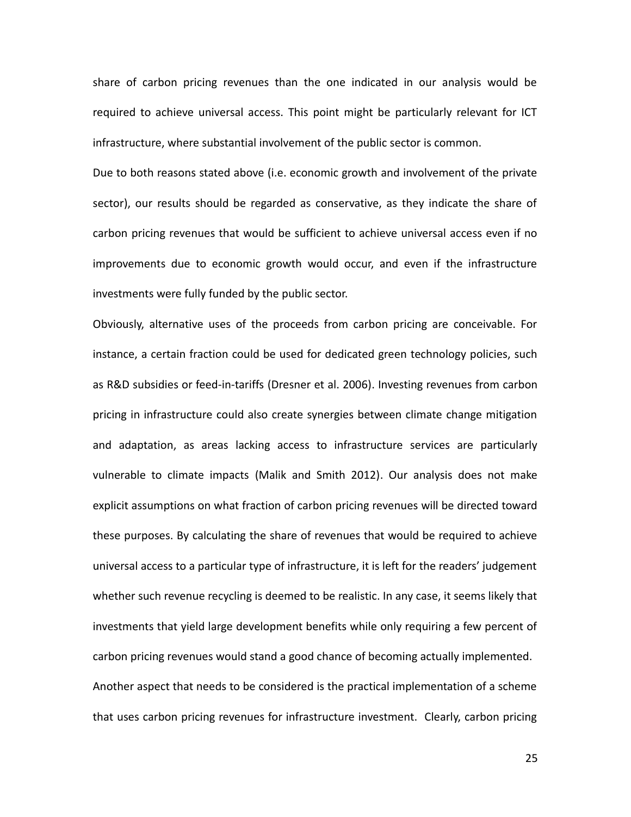share of carbon pricing revenues than the one indicated in our analysis would be required to achieve universal access. This point might be particularly relevant for ICT infrastructure, where substantial involvement of the public sector is common.

Due to both reasons stated above (i.e. economic growth and involvement of the private sector), our results should be regarded as conservative, as they indicate the share of carbon pricing revenues that would be sufficient to achieve universal access even if no improvements due to economic growth would occur, and even if the infrastructure investments were fully funded by the public sector.

Obviously, alternative uses of the proceeds from carbon pricing are conceivable. For instance, a certain fraction could be used for dedicated green technology policies, such as R&D subsidies or feed-in-tariffs (Dresner et al. 2006). Investing revenues from carbon pricing in infrastructure could also create synergies between climate change mitigation and adaptation, as areas lacking access to infrastructure services are particularly vulnerable to climate impacts (Malik and Smith 2012). Our analysis does not make explicit assumptions on what fraction of carbon pricing revenues will be directed toward these purposes. By calculating the share of revenues that would be required to achieve universal access to a particular type of infrastructure, it is left for the readers' judgement whether such revenue recycling is deemed to be realistic. In any case, it seems likely that investments that yield large development benefits while only requiring a few percent of carbon pricing revenues would stand a good chance of becoming actually implemented. Another aspect that needs to be considered is the practical implementation of a scheme that uses carbon pricing revenues for infrastructure investment. Clearly, carbon pricing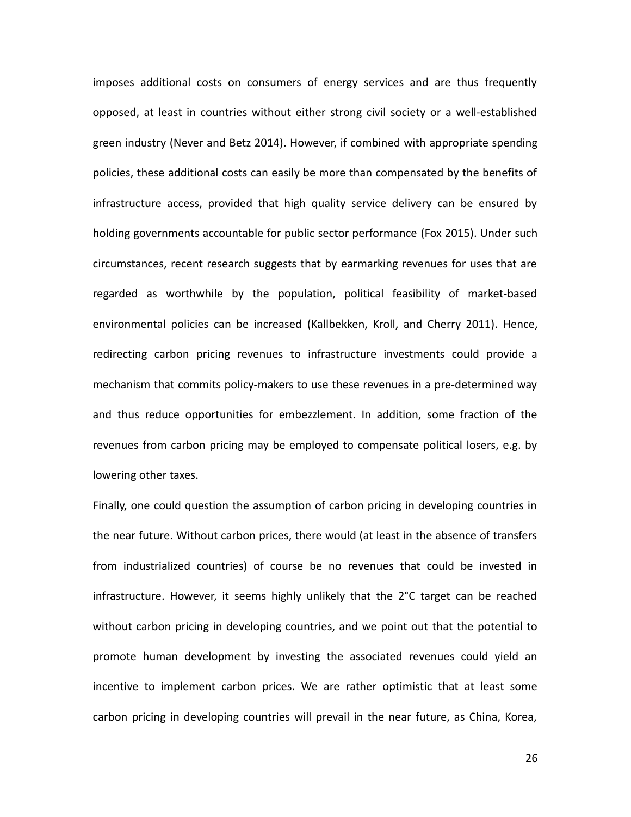imposes additional costs on consumers of energy services and are thus frequently opposed, at least in countries without either strong civil society or a well-established green industry (Never and Betz 2014). However, if combined with appropriate spending policies, these additional costs can easily be more than compensated by the benefits of infrastructure access, provided that high quality service delivery can be ensured by holding governments accountable for public sector performance (Fox 2015). Under such circumstances, recent research suggests that by earmarking revenues for uses that are regarded as worthwhile by the population, political feasibility of market-based environmental policies can be increased (Kallbekken, Kroll, and Cherry 2011). Hence, redirecting carbon pricing revenues to infrastructure investments could provide a mechanism that commits policy-makers to use these revenues in a pre-determined way and thus reduce opportunities for embezzlement. In addition, some fraction of the revenues from carbon pricing may be employed to compensate political losers, e.g. by lowering other taxes.

Finally, one could question the assumption of carbon pricing in developing countries in the near future. Without carbon prices, there would (at least in the absence of transfers from industrialized countries) of course be no revenues that could be invested in infrastructure. However, it seems highly unlikely that the 2°C target can be reached without carbon pricing in developing countries, and we point out that the potential to promote human development by investing the associated revenues could yield an incentive to implement carbon prices. We are rather optimistic that at least some carbon pricing in developing countries will prevail in the near future, as China, Korea,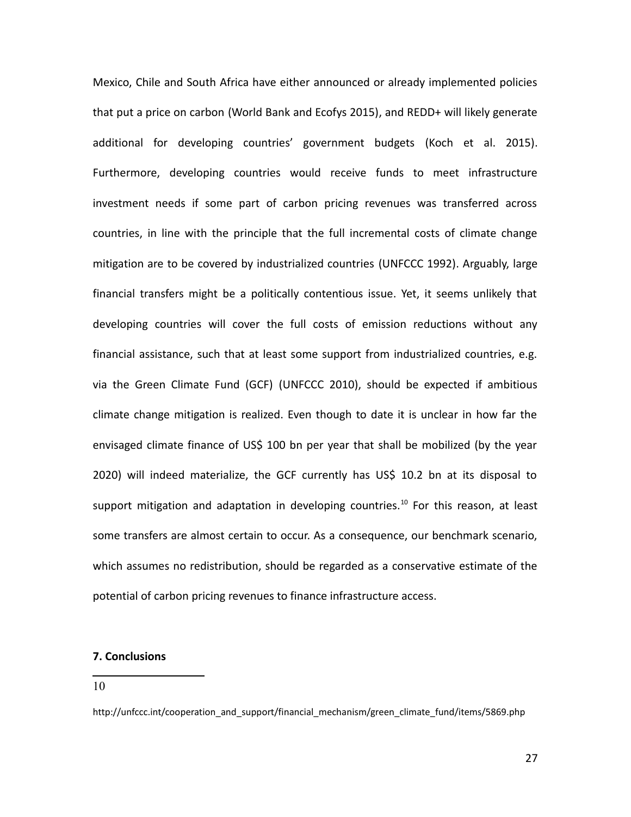Mexico, Chile and South Africa have either announced or already implemented policies that put a price on carbon (World Bank and Ecofys 2015), and REDD+ will likely generate additional for developing countries' government budgets (Koch et al. 2015). Furthermore, developing countries would receive funds to meet infrastructure investment needs if some part of carbon pricing revenues was transferred across countries, in line with the principle that the full incremental costs of climate change mitigation are to be covered by industrialized countries (UNFCCC 1992). Arguably, large financial transfers might be a politically contentious issue. Yet, it seems unlikely that developing countries will cover the full costs of emission reductions without any financial assistance, such that at least some support from industrialized countries, e.g. via the Green Climate Fund (GCF) (UNFCCC 2010), should be expected if ambitious climate change mitigation is realized. Even though to date it is unclear in how far the envisaged climate finance of US\$ 100 bn per year that shall be mobilized (by the year 2020) will indeed materialize, the GCF currently has US\$ 10.2 bn at its disposal to support mitigation and adaptation in developing countries.<sup>[10](#page-26-0)</sup> For this reason, at least some transfers are almost certain to occur. As a consequence, our benchmark scenario, which assumes no redistribution, should be regarded as a conservative estimate of the potential of carbon pricing revenues to finance infrastructure access.

## **7. Conclusions**

<span id="page-26-0"></span>10

http://unfccc.int/cooperation\_and\_support/financial\_mechanism/green\_climate\_fund/items/5869.php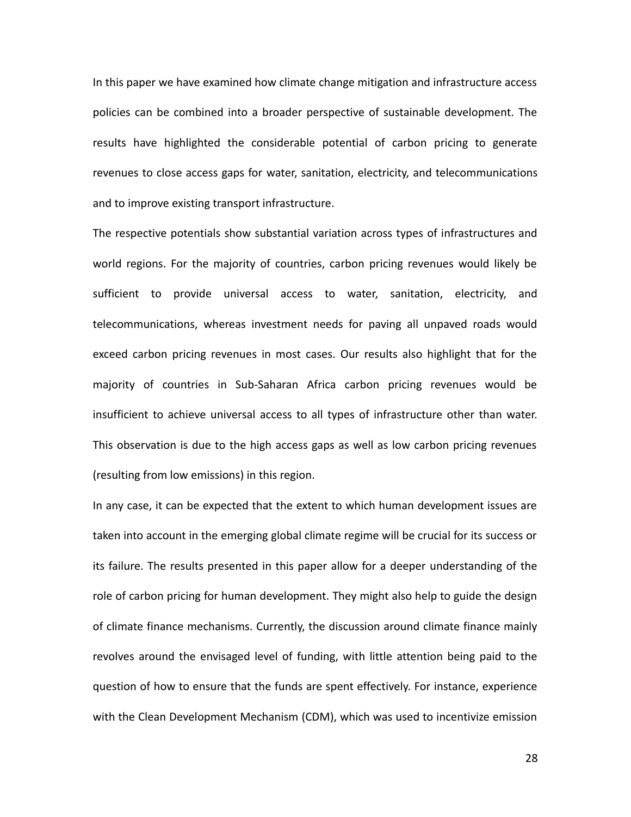In this paper we have examined how climate change mitigation and infrastructure access policies can be combined into a broader perspective of sustainable development. The results have highlighted the considerable potential of carbon pricing to generate revenues to close access gaps for water, sanitation, electricity, and telecommunications and to improve existing transport infrastructure.

The respective potentials show substantial variation across types of infrastructures and world regions. For the majority of countries, carbon pricing revenues would likely be sufficient to provide universal access to water, sanitation, electricity, and telecommunications, whereas investment needs for paving all unpaved roads would exceed carbon pricing revenues in most cases. Our results also highlight that for the majority of countries in Sub-Saharan Africa carbon pricing revenues would be insufficient to achieve universal access to all types of infrastructure other than water. This observation is due to the high access gaps as well as low carbon pricing revenues (resulting from low emissions) in this region.

In any case, it can be expected that the extent to which human development issues are taken into account in the emerging global climate regime will be crucial for its success or its failure. The results presented in this paper allow for a deeper understanding of the role of carbon pricing for human development. They might also help to guide the design of climate finance mechanisms. Currently, the discussion around climate finance mainly revolves around the envisaged level of funding, with little attention being paid to the question of how to ensure that the funds are spent effectively. For instance, experience with the Clean Development Mechanism (CDM), which was used to incentivize emission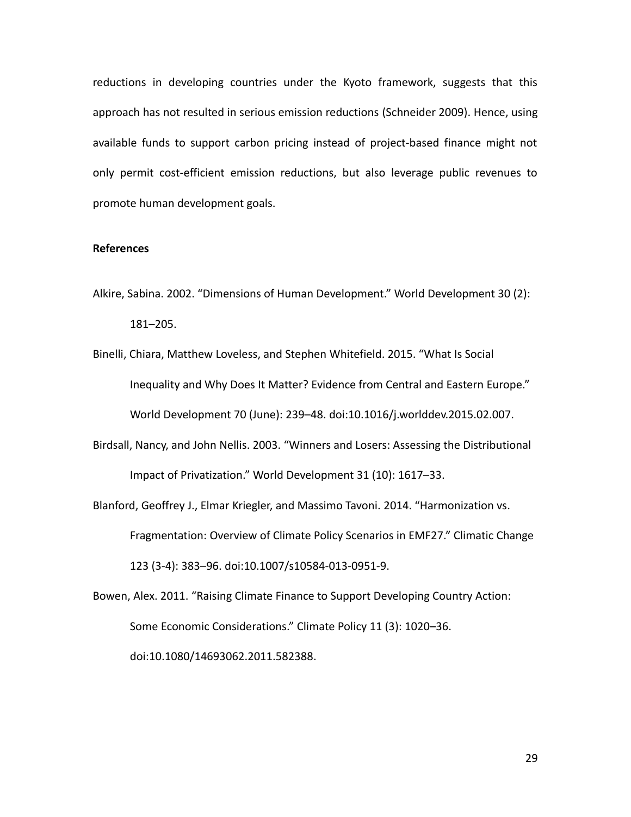reductions in developing countries under the Kyoto framework, suggests that this approach has not resulted in serious emission reductions (Schneider 2009). Hence, using available funds to support carbon pricing instead of project-based finance might not only permit cost-efficient emission reductions, but also leverage public revenues to promote human development goals.

#### **References**

- Alkire, Sabina. 2002. "Dimensions of Human Development." World Development 30 (2): 181–205.
- Binelli, Chiara, Matthew Loveless, and Stephen Whitefield. 2015. "What Is Social Inequality and Why Does It Matter? Evidence from Central and Eastern Europe." World Development 70 (June): 239–48. doi:10.1016/j.worlddev.2015.02.007.
- Birdsall, Nancy, and John Nellis. 2003. "Winners and Losers: Assessing the Distributional Impact of Privatization." World Development 31 (10): 1617–33.
- Blanford, Geoffrey J., Elmar Kriegler, and Massimo Tavoni. 2014. "Harmonization vs. Fragmentation: Overview of Climate Policy Scenarios in EMF27." Climatic Change 123 (3-4): 383–96. doi:10.1007/s10584-013-0951-9.
- Bowen, Alex. 2011. "Raising Climate Finance to Support Developing Country Action: Some Economic Considerations." Climate Policy 11 (3): 1020–36.

doi:10.1080/14693062.2011.582388.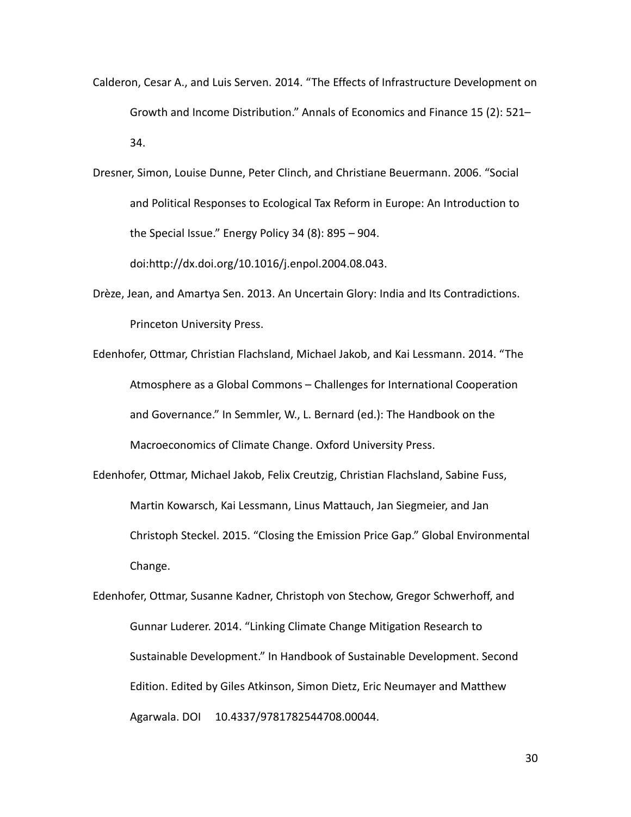- Calderon, Cesar A., and Luis Serven. 2014. "The Effects of Infrastructure Development on Growth and Income Distribution." Annals of Economics and Finance 15 (2): 521– 34.
- Dresner, Simon, Louise Dunne, Peter Clinch, and Christiane Beuermann. 2006. "Social and Political Responses to Ecological Tax Reform in Europe: An Introduction to the Special Issue." Energy Policy 34 (8): 895 – 904.

doi:http://dx.doi.org/10.1016/j.enpol.2004.08.043.

- Drèze, Jean, and Amartya Sen. 2013. An Uncertain Glory: India and Its Contradictions. Princeton University Press.
- Edenhofer, Ottmar, Christian Flachsland, Michael Jakob, and Kai Lessmann. 2014. "The Atmosphere as a Global Commons – Challenges for International Cooperation and Governance." In Semmler, W., L. Bernard (ed.): The Handbook on the Macroeconomics of Climate Change. Oxford University Press.
- Edenhofer, Ottmar, Michael Jakob, Felix Creutzig, Christian Flachsland, Sabine Fuss, Martin Kowarsch, Kai Lessmann, Linus Mattauch, Jan Siegmeier, and Jan Christoph Steckel. 2015. "Closing the Emission Price Gap." Global Environmental Change.
- Edenhofer, Ottmar, Susanne Kadner, Christoph von Stechow, Gregor Schwerhoff, and Gunnar Luderer. 2014. "Linking Climate Change Mitigation Research to Sustainable Development." In Handbook of Sustainable Development. Second Edition. Edited by Giles Atkinson, Simon Dietz, Eric Neumayer and Matthew Agarwala. DOI 10.4337/9781782544708.00044.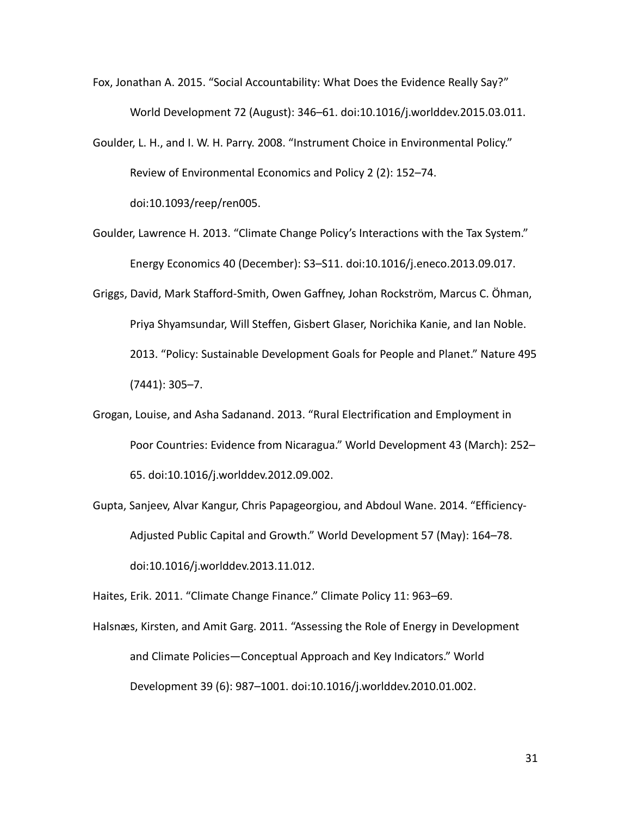- Fox, Jonathan A. 2015. "Social Accountability: What Does the Evidence Really Say?" World Development 72 (August): 346–61. doi:10.1016/j.worlddev.2015.03.011.
- Goulder, L. H., and I. W. H. Parry. 2008. "Instrument Choice in Environmental Policy." Review of Environmental Economics and Policy 2 (2): 152–74. doi:10.1093/reep/ren005.
- Goulder, Lawrence H. 2013. "Climate Change Policy's Interactions with the Tax System." Energy Economics 40 (December): S3–S11. doi:10.1016/j.eneco.2013.09.017.
- Griggs, David, Mark Stafford-Smith, Owen Gaffney, Johan Rockström, Marcus C. Öhman, Priya Shyamsundar, Will Steffen, Gisbert Glaser, Norichika Kanie, and Ian Noble. 2013. "Policy: Sustainable Development Goals for People and Planet." Nature 495 (7441): 305–7.
- Grogan, Louise, and Asha Sadanand. 2013. "Rural Electrification and Employment in Poor Countries: Evidence from Nicaragua." World Development 43 (March): 252– 65. doi:10.1016/j.worlddev.2012.09.002.
- Gupta, Sanjeev, Alvar Kangur, Chris Papageorgiou, and Abdoul Wane. 2014. "Efficiency-Adjusted Public Capital and Growth." World Development 57 (May): 164–78. doi:10.1016/j.worlddev.2013.11.012.

Haites, Erik. 2011. "Climate Change Finance." Climate Policy 11: 963–69.

Halsnæs, Kirsten, and Amit Garg. 2011. "Assessing the Role of Energy in Development and Climate Policies—Conceptual Approach and Key Indicators." World Development 39 (6): 987–1001. doi:10.1016/j.worlddev.2010.01.002.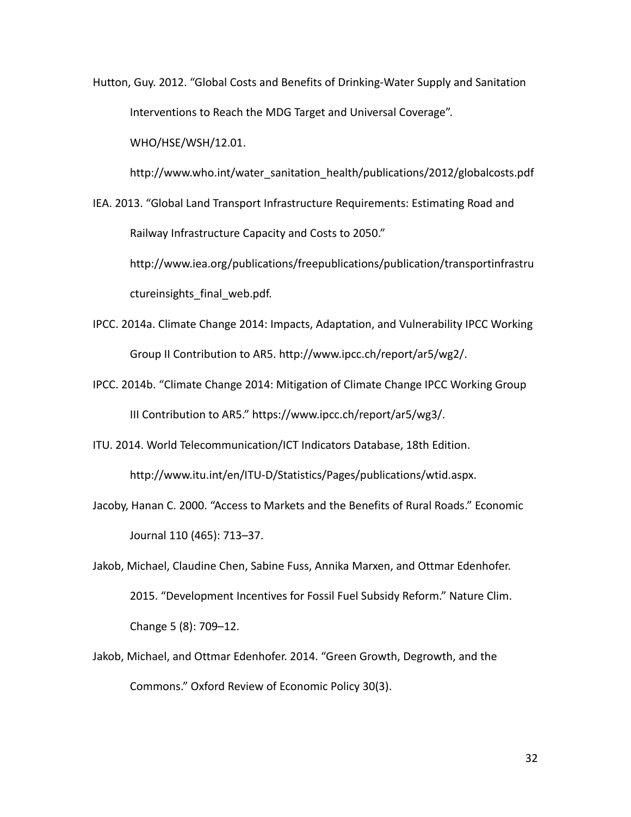Hutton, Guy. 2012. "Global Costs and Benefits of Drinking-Water Supply and Sanitation Interventions to Reach the MDG Target and Universal Coverage".

WHO/HSE/WSH/12.01.

http://www.who.int/water\_sanitation\_health/publications/2012/globalcosts.pdf

IEA. 2013. "Global Land Transport Infrastructure Requirements: Estimating Road and Railway Infrastructure Capacity and Costs to 2050."

http://www.iea.org/publications/freepublications/publication/transportinfrastru ctureinsights final web.pdf.

- IPCC. 2014a. Climate Change 2014: Impacts, Adaptation, and Vulnerability IPCC Working Group II Contribution to AR5. http://www.ipcc.ch/report/ar5/wg2/.
- IPCC. 2014b. "Climate Change 2014: Mitigation of Climate Change IPCC Working Group III Contribution to AR5." https://www.ipcc.ch/report/ar5/wg3/.
- ITU. 2014. World Telecommunication/ICT Indicators Database, 18th Edition.

http://www.itu.int/en/ITU-D/Statistics/Pages/publications/wtid.aspx.

- Jacoby, Hanan C. 2000. "Access to Markets and the Benefits of Rural Roads." Economic Journal 110 (465): 713–37.
- Jakob, Michael, Claudine Chen, Sabine Fuss, Annika Marxen, and Ottmar Edenhofer. 2015. "Development Incentives for Fossil Fuel Subsidy Reform." Nature Clim. Change 5 (8): 709–12.
- Jakob, Michael, and Ottmar Edenhofer. 2014. "Green Growth, Degrowth, and the Commons." Oxford Review of Economic Policy 30(3).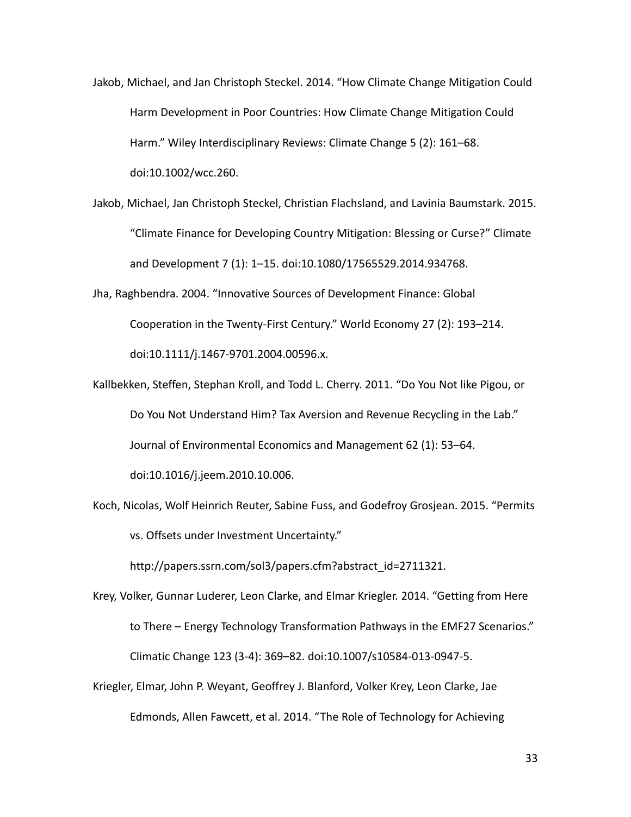- Jakob, Michael, and Jan Christoph Steckel. 2014. "How Climate Change Mitigation Could Harm Development in Poor Countries: How Climate Change Mitigation Could Harm." Wiley Interdisciplinary Reviews: Climate Change 5 (2): 161–68. doi:10.1002/wcc.260.
- Jakob, Michael, Jan Christoph Steckel, Christian Flachsland, and Lavinia Baumstark. 2015. "Climate Finance for Developing Country Mitigation: Blessing or Curse?" Climate and Development 7 (1): 1–15. doi:10.1080/17565529.2014.934768.
- Jha, Raghbendra. 2004. "Innovative Sources of Development Finance: Global Cooperation in the Twenty-First Century." World Economy 27 (2): 193–214. doi:10.1111/j.1467-9701.2004.00596.x.
- Kallbekken, Steffen, Stephan Kroll, and Todd L. Cherry. 2011. "Do You Not like Pigou, or Do You Not Understand Him? Tax Aversion and Revenue Recycling in the Lab." Journal of Environmental Economics and Management 62 (1): 53–64. doi:10.1016/j.jeem.2010.10.006.

Koch, Nicolas, Wolf Heinrich Reuter, Sabine Fuss, and Godefroy Grosjean. 2015. "Permits vs. Offsets under Investment Uncertainty."

http://papers.ssrn.com/sol3/papers.cfm?abstract\_id=2711321.

Krey, Volker, Gunnar Luderer, Leon Clarke, and Elmar Kriegler. 2014. "Getting from Here to There – Energy Technology Transformation Pathways in the EMF27 Scenarios." Climatic Change 123 (3-4): 369–82. doi:10.1007/s10584-013-0947-5. Kriegler, Elmar, John P. Weyant, Geoffrey J. Blanford, Volker Krey, Leon Clarke, Jae

Edmonds, Allen Fawcett, et al. 2014. "The Role of Technology for Achieving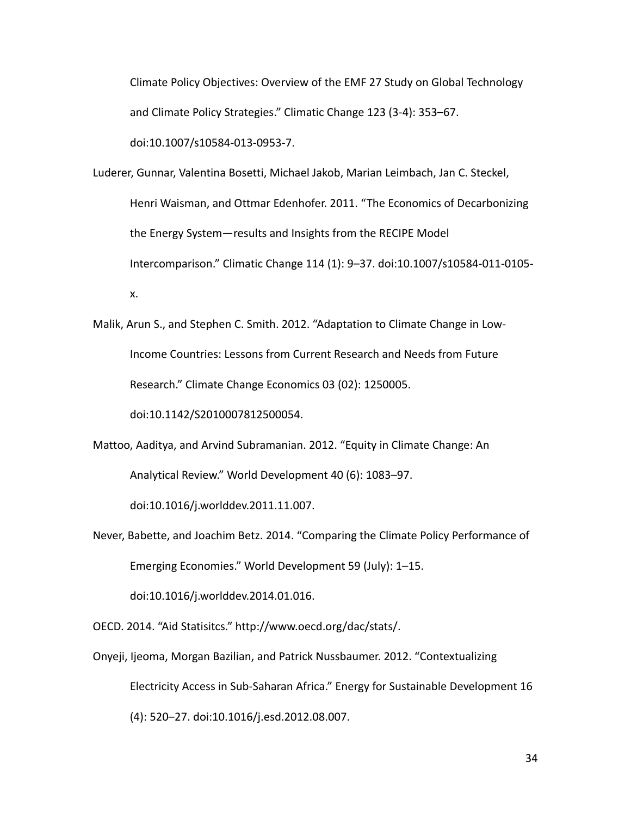Climate Policy Objectives: Overview of the EMF 27 Study on Global Technology and Climate Policy Strategies." Climatic Change 123 (3-4): 353–67.

doi:10.1007/s10584-013-0953-7.

- Luderer, Gunnar, Valentina Bosetti, Michael Jakob, Marian Leimbach, Jan C. Steckel, Henri Waisman, and Ottmar Edenhofer. 2011. "The Economics of Decarbonizing the Energy System—results and Insights from the RECIPE Model Intercomparison." Climatic Change 114 (1): 9–37. doi:10.1007/s10584-011-0105 x.
- Malik, Arun S., and Stephen C. Smith. 2012. "Adaptation to Climate Change in Low-Income Countries: Lessons from Current Research and Needs from Future Research." Climate Change Economics 03 (02): 1250005.

doi:10.1142/S2010007812500054.

Mattoo, Aaditya, and Arvind Subramanian. 2012. "Equity in Climate Change: An Analytical Review." World Development 40 (6): 1083–97.

doi:10.1016/j.worlddev.2011.11.007.

Never, Babette, and Joachim Betz. 2014. "Comparing the Climate Policy Performance of Emerging Economies." World Development 59 (July): 1–15.

doi:10.1016/j.worlddev.2014.01.016.

OECD. 2014. "Aid Statisitcs." http://www.oecd.org/dac/stats/.

Onyeji, Ijeoma, Morgan Bazilian, and Patrick Nussbaumer. 2012. "Contextualizing Electricity Access in Sub-Saharan Africa." Energy for Sustainable Development 16 (4): 520–27. doi:10.1016/j.esd.2012.08.007.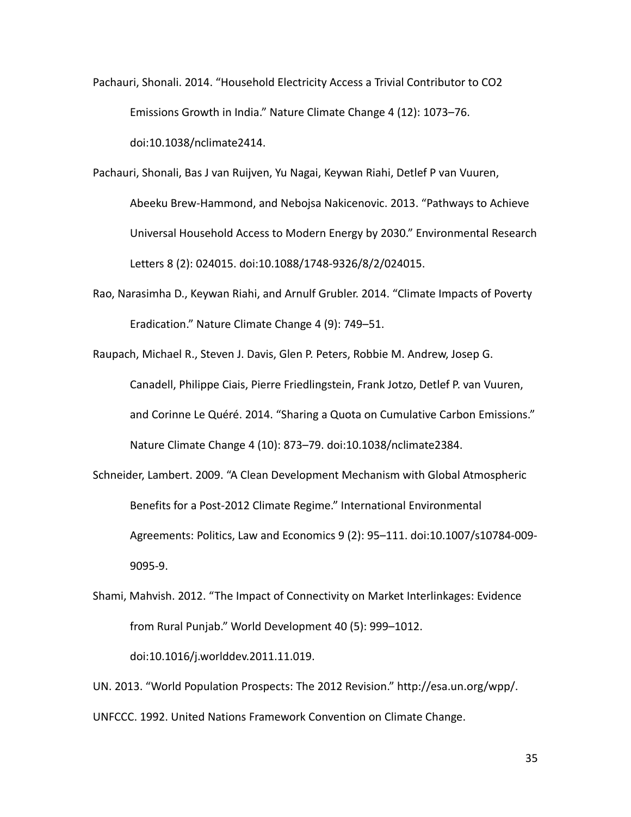- Pachauri, Shonali. 2014. "Household Electricity Access a Trivial Contributor to CO2 Emissions Growth in India." Nature Climate Change 4 (12): 1073–76. doi:10.1038/nclimate2414.
- Pachauri, Shonali, Bas J van Ruijven, Yu Nagai, Keywan Riahi, Detlef P van Vuuren, Abeeku Brew-Hammond, and Nebojsa Nakicenovic. 2013. "Pathways to Achieve Universal Household Access to Modern Energy by 2030." Environmental Research Letters 8 (2): 024015. doi:10.1088/1748-9326/8/2/024015.
- Rao, Narasimha D., Keywan Riahi, and Arnulf Grubler. 2014. "Climate Impacts of Poverty Eradication." Nature Climate Change 4 (9): 749–51.

Raupach, Michael R., Steven J. Davis, Glen P. Peters, Robbie M. Andrew, Josep G. Canadell, Philippe Ciais, Pierre Friedlingstein, Frank Jotzo, Detlef P. van Vuuren, and Corinne Le Quéré. 2014. "Sharing a Quota on Cumulative Carbon Emissions." Nature Climate Change 4 (10): 873–79. doi:10.1038/nclimate2384.

- Schneider, Lambert. 2009. "A Clean Development Mechanism with Global Atmospheric Benefits for a Post-2012 Climate Regime." International Environmental Agreements: Politics, Law and Economics 9 (2): 95–111. doi:10.1007/s10784-009- 9095-9.
- Shami, Mahvish. 2012. "The Impact of Connectivity on Market Interlinkages: Evidence from Rural Punjab." World Development 40 (5): 999–1012.

doi:10.1016/j.worlddev.2011.11.019.

UN. 2013. "World Population Prospects: The 2012 Revision." http://esa.un.org/wpp/. UNFCCC. 1992. United Nations Framework Convention on Climate Change.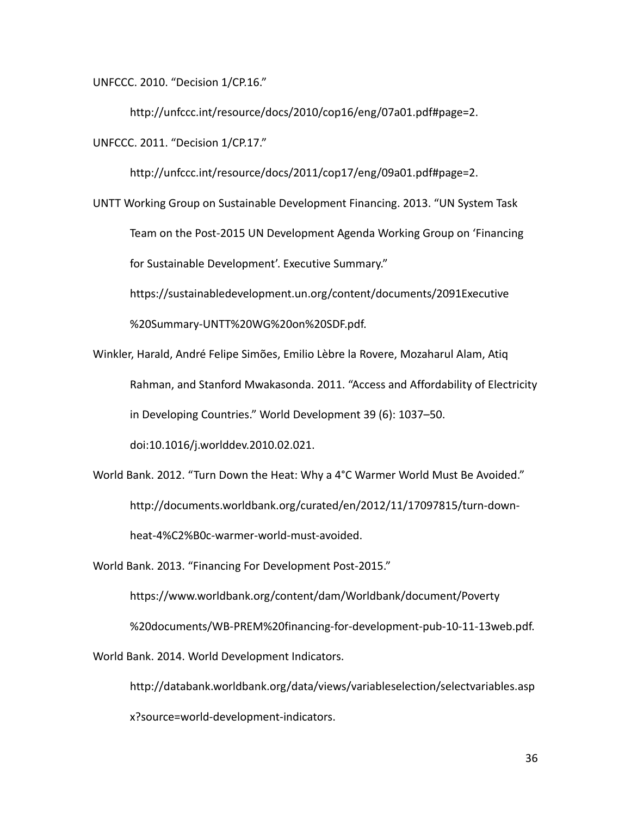UNFCCC. 2010. "Decision 1/CP.16."

http://unfccc.int/resource/docs/2010/cop16/eng/07a01.pdf#page=2.

UNFCCC. 2011. "Decision 1/CP.17."

http://unfccc.int/resource/docs/2011/cop17/eng/09a01.pdf#page=2.

UNTT Working Group on Sustainable Development Financing. 2013. "UN System Task Team on the Post-2015 UN Development Agenda Working Group on 'Financing for Sustainable Development'. Executive Summary."

https://sustainabledevelopment.un.org/content/documents/2091Executive

%20Summary-UNTT%20WG%20on%20SDF.pdf.

Winkler, Harald, André Felipe Simões, Emilio Lèbre la Rovere, Mozaharul Alam, Atiq Rahman, and Stanford Mwakasonda. 2011. "Access and Affordability of Electricity in Developing Countries." World Development 39 (6): 1037–50. doi:10.1016/j.worlddev.2010.02.021.

World Bank. 2012. "Turn Down the Heat: Why a 4°C Warmer World Must Be Avoided." http://documents.worldbank.org/curated/en/2012/11/17097815/turn-downheat-4%C2%B0c-warmer-world-must-avoided.

World Bank. 2013. "Financing For Development Post-2015."

https://www.worldbank.org/content/dam/Worldbank/document/Poverty %20documents/WB-PREM%20financing-for-development-pub-10-11-13web.pdf. World Bank. 2014. World Development Indicators.

http://databank.worldbank.org/data/views/variableselection/selectvariables.asp x?source=world-development-indicators.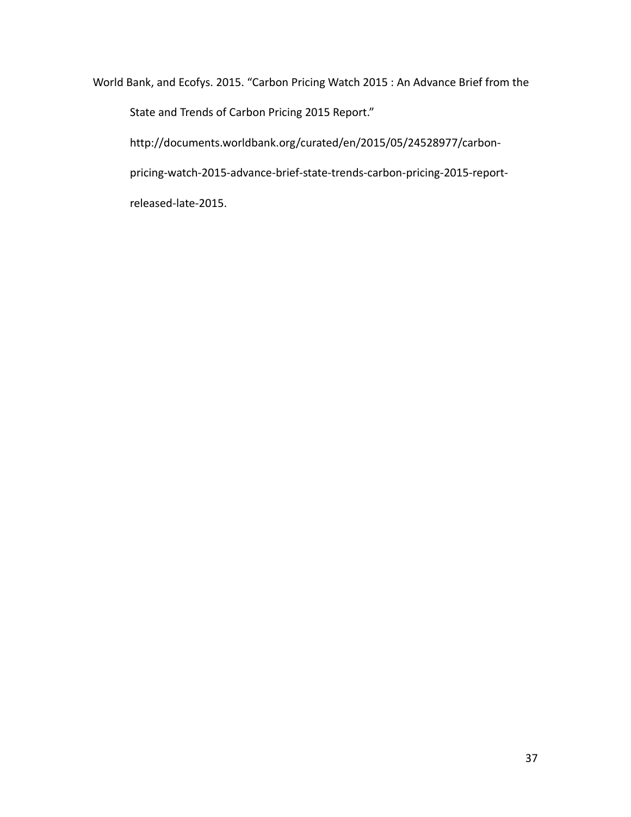World Bank, and Ecofys. 2015. "Carbon Pricing Watch 2015 : An Advance Brief from the

State and Trends of Carbon Pricing 2015 Report."

http://documents.worldbank.org/curated/en/2015/05/24528977/carbon-

pricing-watch-2015-advance-brief-state-trends-carbon-pricing-2015-report-

released-late-2015.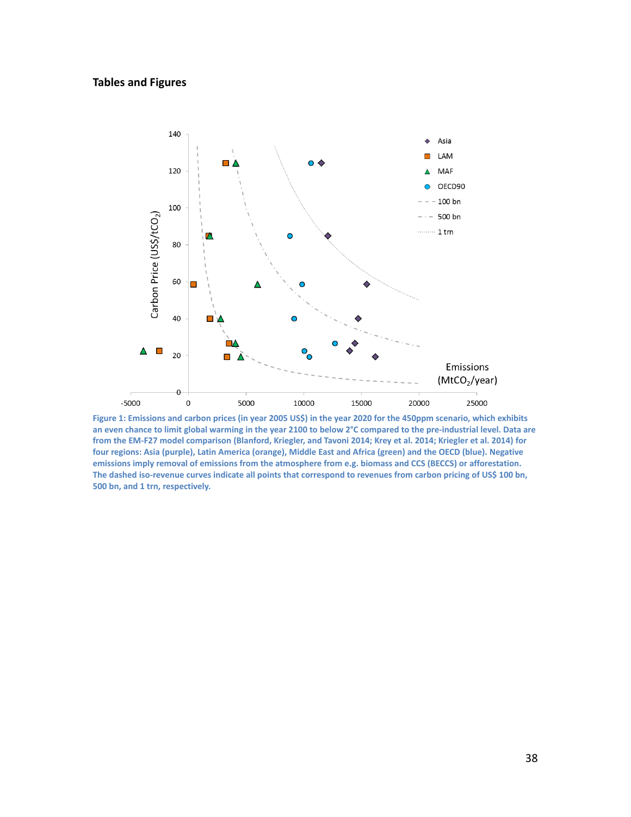## **Tables and Figures**



**Figure 1: Emissions and carbon prices (in year 2005 US\$) in the year 2020 for the 450ppm scenario, which exhibits an even chance to limit global warming in the year 2100 to below 2°C compared to the pre-industrial level. Data are from the EM-F27 model comparison (Blanford, Kriegler, and Tavoni 2014; Krey et al. 2014; Kriegler et al. 2014) for four regions: Asia (purple), Latin America (orange), Middle East and Africa (green) and the OECD (blue). Negative emissions imply removal of emissions from the atmosphere from e.g. biomass and CCS (BECCS) or afforestation. The dashed iso-revenue curves indicate all points that correspond to revenues from carbon pricing of US\$ 100 bn, 500 bn, and 1 trn, respectively.**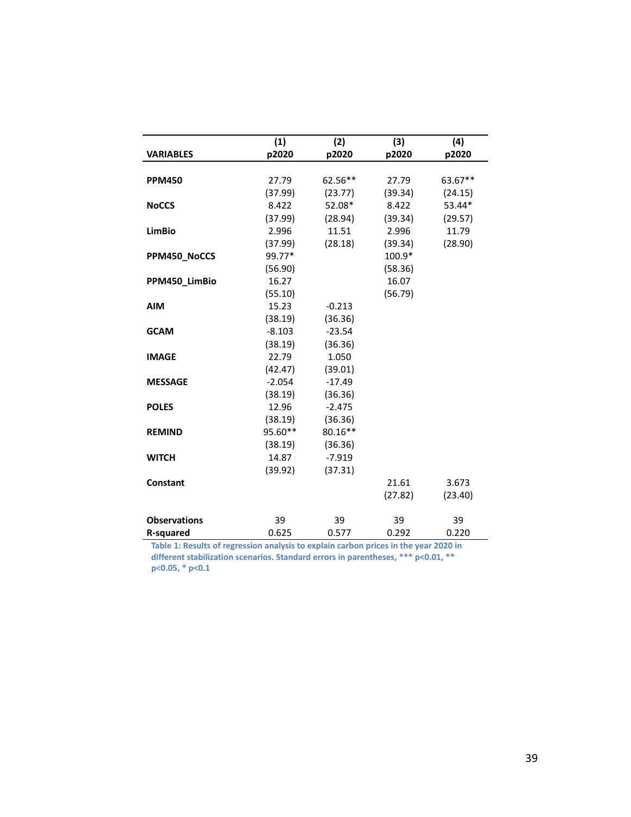| <b>VARIABLES</b>    | (1)<br>p2020 | (2)<br>p2020 | (3)<br>p2020 | (4)<br>p2020 |
|---------------------|--------------|--------------|--------------|--------------|
| <b>PPM450</b>       | 27.79        | 62.56**      | 27.79        | 63.67**      |
|                     | (37.99)      | (23.77)      | (39.34)      | (24.15)      |
| <b>NoCCS</b>        | 8.422        | 52.08*       | 8.422        | 53.44*       |
|                     | (37.99)      | (28.94)      | (39.34)      | (29.57)      |
| <b>LimBio</b>       | 2.996        | 11.51        | 2.996        | 11.79        |
|                     | (37.99)      | (28.18)      | (39.34)      | (28.90)      |
| PPM450_NoCCS        | 99.77*       |              | 100.9*       |              |
|                     | (56.90)      |              | (58.36)      |              |
| PPM450_LimBio       | 16.27        |              | 16.07        |              |
|                     | (55.10)      |              | (56.79)      |              |
| <b>AIM</b>          | 15.23        | $-0.213$     |              |              |
|                     | (38.19)      | (36.36)      |              |              |
| <b>GCAM</b>         | $-8.103$     | $-23.54$     |              |              |
|                     | (38.19)      | (36.36)      |              |              |
| <b>IMAGE</b>        | 22.79        | 1.050        |              |              |
|                     | (42.47)      | (39.01)      |              |              |
| <b>MESSAGE</b>      | $-2.054$     | $-17.49$     |              |              |
|                     | (38.19)      | (36.36)      |              |              |
| <b>POLES</b>        | 12.96        | $-2.475$     |              |              |
|                     | (38.19)      | (36.36)      |              |              |
| <b>REMIND</b>       | 95.60**      | 80.16**      |              |              |
|                     | (38.19)      | (36.36)      |              |              |
| <b>WITCH</b>        | 14.87        | $-7.919$     |              |              |
|                     | (39.92)      | (37.31)      |              |              |
| Constant            |              |              | 21.61        | 3.673        |
|                     |              |              | (27.82)      | (23.40)      |
| <b>Observations</b> | 39           | 39           | 39           | 39           |
| <b>R-squared</b>    | 0.625        | 0.577        | 0.292        | 0.220        |

<span id="page-38-0"></span>**Table 1: Results of regression analysis to explain carbon prices in the year 2020 in different stabilization scenarios. Standard errors in parentheses, \*\*\* p<0.01, \*\* p<0.05, \* p<0.1**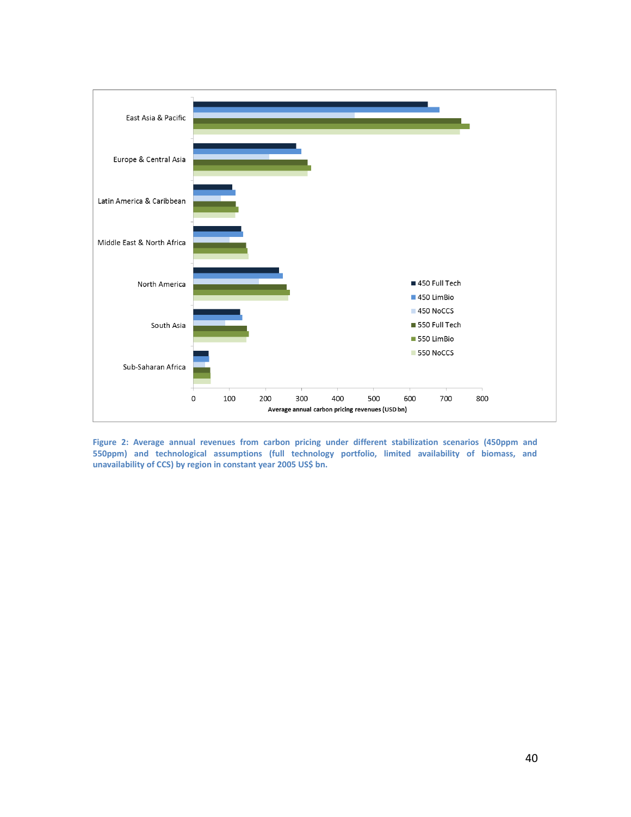

**Figure 2: Average annual revenues from carbon pricing under different stabilization scenarios (450ppm and 550ppm) and technological assumptions (full technology portfolio, limited availability of biomass, and unavailability of CCS) by region in constant year 2005 US\$ bn.**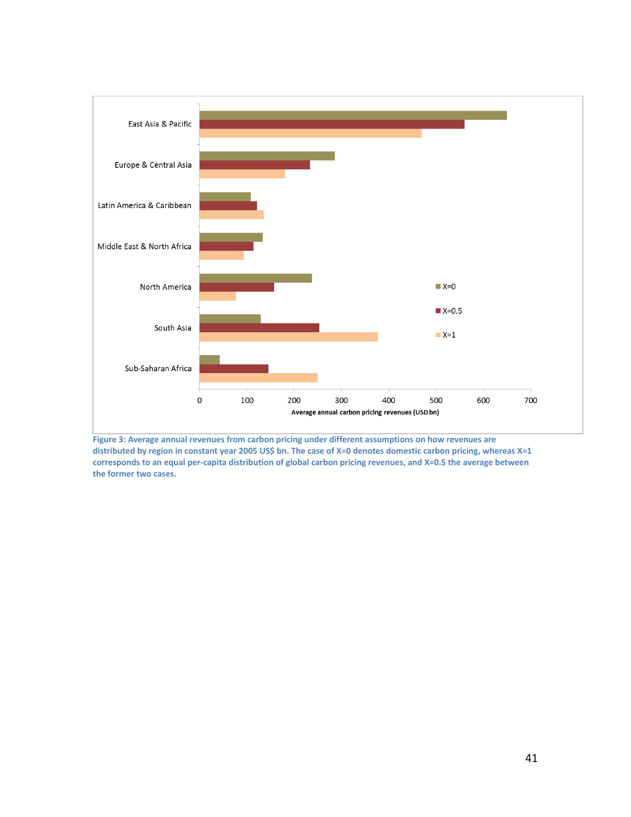

**Figure 3: Average annual revenues from carbon pricing under different assumptions on how revenues are distributed by region in constant year 2005 US\$ bn. The case of X=0 denotes domestic carbon pricing, whereas X=1 corresponds to an equal per-capita distribution of global carbon pricing revenues, and X=0.5 the average between the former two cases.**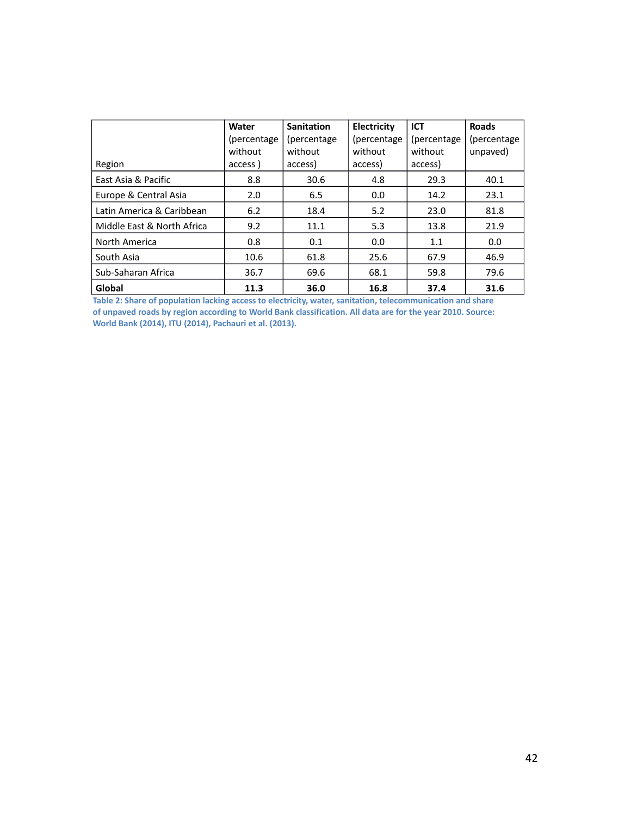|                            | Water<br>(percentage)<br>without | <b>Sanitation</b><br>(percentage)<br>without | Electricity<br>(percentage)<br>without | <b>ICT</b><br>(percentage)<br>without | <b>Roads</b><br>(percentage)<br>unpaved) |
|----------------------------|----------------------------------|----------------------------------------------|----------------------------------------|---------------------------------------|------------------------------------------|
| Region                     | access)                          | access)                                      | access)                                | access)                               |                                          |
| East Asia & Pacific        | 8.8                              | 30.6                                         | 4.8                                    | 29.3                                  | 40.1                                     |
| Europe & Central Asia      | 2.0                              | 6.5                                          | 0.0                                    | 14.2                                  | 23.1                                     |
| Latin America & Caribbean  | 6.2                              | 18.4                                         | 5.2                                    | 23.0                                  | 81.8                                     |
| Middle East & North Africa | 9.2                              | 11.1                                         | 5.3                                    | 13.8                                  | 21.9                                     |
| North America              | 0.8                              | 0.1                                          | 0.0                                    | 1.1                                   | 0.0                                      |
| South Asia                 | 10.6                             | 61.8                                         | 25.6                                   | 67.9                                  | 46.9                                     |
| Sub-Saharan Africa         | 36.7                             | 69.6                                         | 68.1                                   | 59.8                                  | 79.6                                     |
| Global                     | 11.3                             | 36.0                                         | 16.8                                   | 37.4                                  | 31.6                                     |

**Table 2: Share of population lacking access to electricity, water, sanitation, telecommunication and share of unpaved roads by region according to World Bank classification. All data are for the year 2010. Source: World Bank (2014), ITU (2014), Pachauri et al. (2013).**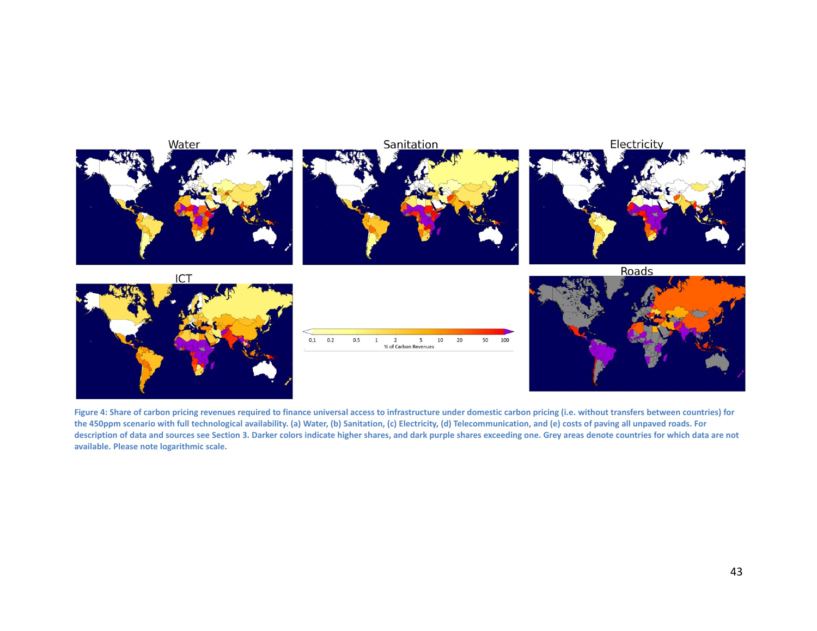

**Figure 4: Share of carbon pricing revenues required to finance universal access to infrastructure under domestic carbon pricing (i.e. without transfers between countries) for the 450ppm scenario with full technological availability. (a) Water, (b) Sanitation, (c) Electricity, (d) Telecommunication, and (e) costs of paving all unpaved roads. For description of data and sources see Section 3. Darker colors indicate higher shares, and dark purple shares exceeding one. Grey areas denote countries for which data are not available. Please note logarithmic scale.**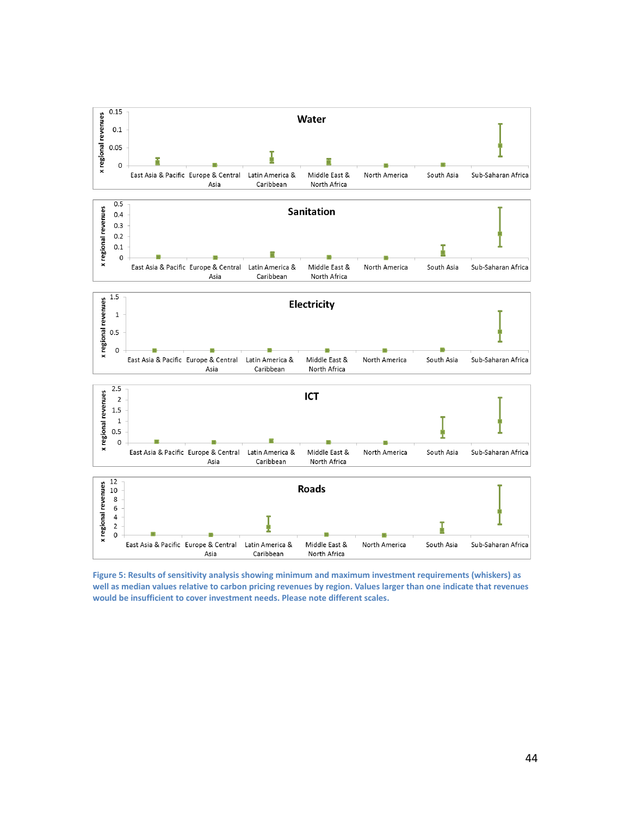

**Figure 5: Results of sensitivity analysis showing minimum and maximum investment requirements (whiskers) as well as median values relative to carbon pricing revenues by region. Values larger than one indicate that revenues would be insufficient to cover investment needs. Please note different scales.**